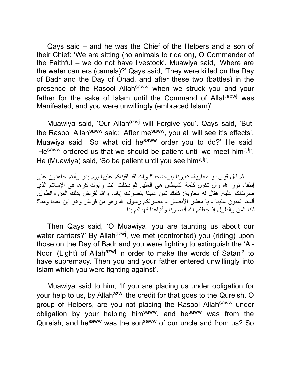Qays said – and he was the Chief of the Helpers and a son of their Chief: 'We are sitting (no animals to ride on), O Commander of the Faithful – we do not have livestock'. Muawiya said, 'Where are the water carriers (camels)?' Qays said, 'They were killed on the Day of Badr and the Day of Ohad, and after these two (battles) in the presence of the Rasool Allah<sup>saww</sup> when we struck you and your father for the sake of Islam until the Command of Allah<sup>azwj</sup> was Manifested, and you were unwillingly (embraced Islam)'.

Muawiya said, 'Our Allah<sup>azwj</sup> will Forgive you'. Qays said, 'But, the Rasool Allah<sup>saww</sup> said: 'After me<sup>saww</sup>, you all will see it's effects'. Muawiya said, 'So what did he<sup>saww</sup> order you to do?' He said, 'He<sup>saww</sup> ordered us that we should be patient until we meet him<sup>ajfj</sup>'. He (Muawiya) said, 'So be patient until you see him<sup>ajfj</sup>'.

ثم قال قیس: یا معاویة، تعیرنا بنواضحنا؟ واالله لقد لقیناكم علیها یوم بدر وأنتم جاهدون على إطفاء نور االله وأن تكون كلمة الشیطان هي العلیا. ثم دخلت أنت وأبوك كرها في الإسلام الذي ضربناكم علیه. فقال له معاویة: كأنك تمن علینا بنصرتك إیانا، واالله لقریش بذلك المن والطول. ألستم تمنون علینا - یا معشر الأنصار - بنصرتكم رسول االله وهو من قریش وهو ابن عمنا ومنا؟ فلنا المن والطول إذ جعلكم االله أنصارنا وأتباعنا فهداكم بنا.

Then Qays said, 'O Muawiya, you are taunting us about our water carriers?' By Allah<sup>azwj</sup>, we met (confronted) you (riding) upon those on the Day of Badr and you were fighting to extinguish the 'Al-Noor' (Light) of Allah<sup>azwj</sup> in order to make the words of Satan<sup>la</sup> to have supremacy. Then you and your father entered unwillingly into Islam which you were fighting against'.

Muawiya said to him, 'If you are placing us under obligation for your help to us, by Allah<sup>azwj</sup> the credit for that goes to the Qureish. O group of Helpers, are you not placing the Rasool Allahsaww under obligation by your helping him<sup>saww</sup>, and he<sup>saww</sup> was from the Qureish, and he<sup>saww</sup> was the son<sup>saww</sup> of our uncle and from us? So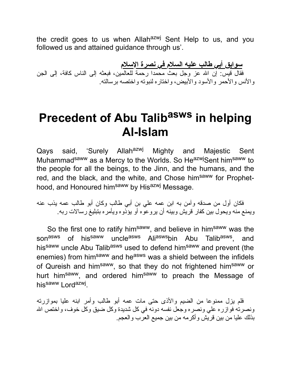the credit goes to us when Allah<sup>azwj</sup> Sent Help to us, and you followed us and attained guidance through us'.

**سوابق أبي طالب علیه السلام في نصرة الإسلام** فقال قیس: إن االله عز وجل بعث محمدا رحمة للعالمین، فبعثه إلى الناس كافة، إلى الجن والأنس والأحمر والأسود والأبیض، واختاره لنبوته واختصه برسالته.

## **Precedent of Abu Talib asws in helping Al-Islam**

Qays said, 'Surely Allah<sup>azwj</sup> Mighty and Majestic Sent Muhammad<sup>saww</sup> as a Mercy to the Worlds. So He<sup>azwj</sup>Sent him<sup>saww</sup> to the people for all the beings, to the Jinn, and the humans, and the red, and the black, and the white, and Chose him<sup>saww</sup> for Prophethood, and Honoured him<sup>saww</sup> by His<sup>azwj</sup> Message.

فكان أول من صدقه وآمن به ابن عمه علي بن أبي طالب وكان أبو طالب عمه یذب عنه ویمنع منه ویحول بین كفار قریش وبینه أن یروعوه أو یؤذوه ویأمره بتبلیغ رسالات ربه.

So the first one to ratify him<sup>saww</sup>, and believe in him<sup>saww</sup> was the son<sup>asws</sup> of his<sup>saww</sup> uncle<sup>asws</sup> Ali<sup>asws</sup>bin Abu Talib<sup>asws</sup>, , and his<sup>saww</sup> uncle Abu Talib<sup>asws</sup> used to defend him<sup>saww</sup> and prevent (the enemies) from him<sup>saww</sup> and he<sup>asws</sup> was a shield between the infidels of Qureish and him<sup>saww</sup>, so that they do not frightened him<sup>saww</sup> or hurt him<sup>saww</sup>, and ordered him<sup>saww</sup> to preach the Message of his<sup>saww</sup> Lord<sup>azwj</sup>.

فلم یزل ممنوعا من الضیم والأذى حتى مات عمه أبو طالب وأمر ابنه علیا بموازرته ونصرته فوازره علي ونصره وجعل نفسه دونه في كل شدیدة وكل ضیق وكل خوف، واختص االله بذلك علیا من بین قریش وأكرمه من بین جمیع العرب والعجم.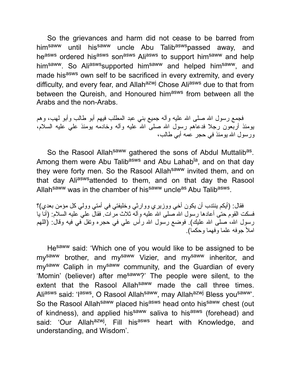So the grievances and harm did not cease to be barred from him<sup>saww</sup> until his<sup>saww</sup> uncle Abu Talib<sup>asws</sup>passed away, and heasws ordered hisasws sonasws Aliasws to support himsaww and help him<sup>saww</sup>. So Ali<sup>asws</sup>supported him<sup>saww</sup> and helped him<sup>saww</sup>, and made his<sup>asws</sup> own self to be sacrificed in every extremity, and every difficulty, and every fear, and Allah<sup>azwj</sup> Chose Ali<sup>asws</sup> due to that from between the Qureish, and Honoured him<sup>asws</sup> from between all the Arabs and the non-Arabs.

فجمع رسول الله صلى الله علیه وأله جمیع بني عبد المطلب فیهم أبو طالب وأبو لهب، وهم یومئذ أربعون رجلا فدعاهم رسول االله صلى االله علیه وآله وخادمه یومئذ علي علیه السلام، ورسول االله یومئذ في حجر عمه أبي طالب،

So the Rasool Allah<sup>saww</sup> gathered the sons of Abdul Muttalib<sup>as</sup>. Among them were Abu Talib<sup>asws</sup> and Abu Lahab<sup>la</sup>, and on that day they were forty men. So the Rasool Allah<sup>saww</sup> invited them, and on that day Aliaswsattended to them, and on that day the Rasool Allah<sup>saww</sup> was in the chamber of his<sup>saww</sup> uncle<sup>as</sup> Abu Talib<sup>asws</sup>.

فقال: (أیكم ینتدب أن یكون أخي ووزیري ووارثي وخلیفتي في أمتي وولي كل مؤمن بعدي)؟ فسكت القومُ حتى أعادها رسول الله صلى الله علیه وآله ثلاث مرَّ اتَّ. فقالَّ على علیه السلام: (أنَّا یا رسول الله، صلى الله عليك). فوضع رسول الله رأس علي في حجره وتفل في فيه وقال: (اللهم املأ جوفه علما وفهما وحكما).

He<sup>saww</sup> said: 'Which one of you would like to be assigned to be my<sup>saww</sup> brother, and my<sup>saww</sup> Vizier, and my<sup>saww</sup> inheritor, and my<sup>saww</sup> Caliph in my<sup>saww</sup> community, and the Guardian of every 'Momin' (believer) after mesaww?' The people were silent, to the extent that the Rasool Allah<sup>saww</sup> made the call three times. Ali<sup>asws</sup> said: 'I<sup>asws</sup>, O Rasool Allah<sup>saww</sup>, may Allah<sup>azwj</sup> Bless you<sup>saww</sup>'. So the Rasool Allah<sup>saww</sup> placed his<sup>asws</sup> head onto his<sup>saww</sup> chest (out of kindness), and applied his<sup>saww</sup> saliva to his<sup>asws</sup> (forehead) and said: 'Our Allah<sup>azwj</sup>, Fill his<sup>asws</sup> heart with Knowledge, and understanding, and Wisdom'.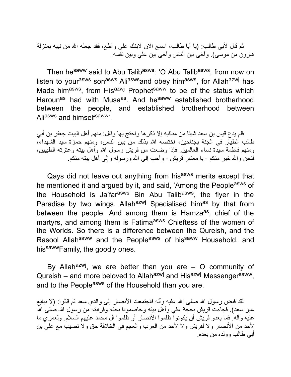ثم قال لأبي طالب: (یا أبا طالب، اسمع الآن لابنك علي وأطع، فقد جعله االله من نبیه بمنزلة هارون من موسى). وآخى بین الناس وآخى بین علي وبین نفسه.

Then he<sup>saww</sup> said to Abu Talib<sup>asws</sup>: 'O Abu Talib<sup>asws</sup>, from now on listen to your<sup>asws</sup> son<sup>asws</sup> Ali<sup>asws</sup>and obey him<sup>asws</sup>, for Allah<sup>azwj</sup> has Made him<sup>asws</sup>, from His<sup>azwj</sup> Prophet<sup>saww</sup> to be of the status which Haroun<sup>as</sup> had with Musa<sup>as</sup>. And he<sup>saww</sup> established brotherhood between the people, and established brotherhood between Aliasws and himselfsaww'.

فلم یدع قیس بن سعد شیئا من مناقبه إلا ذكرها واحتج بها وقال: منهم أهل البیت جعفر بن أبي طالب الطیار في الجنة بجناحین، اختصه االله بذلك من بین الناس، ومنهم حمزة سید الشهداء، ومنهم فاطمة سیدة نساء العالمین. فإذا وضعت من قریش رسول االله وأهل بیته وعترته الطیبین، فنحن واالله خیر منكم - یا معشر قریش - وأحب إلى االله ورسوله وإلى أهل بیته منكم.

Qays did not leave out anything from hisasws merits except that he mentioned it and argued by it, and said, 'Among the People<sup>asws</sup> of the Household is Ja'far<sup>asws</sup> Bin Abu Talib<sup>asws</sup>, the flyer in the Paradise by two wings. Allahazwi Specialised himas by that from between the people. And among them is Hamza<sup>as</sup>, chief of the martyrs, and among them is Fatima<sup>asws</sup> Chieftess of the women of the Worlds. So there is a difference between the Qureish, and the Rasool Allah<sup>saww</sup> and the People<sup>asws</sup> of his<sup>saww</sup> Household, and hissawwFamily, the goodly ones.

By Allah<sup>azwj</sup>, we are better than you are – O community of Qureish – and more beloved to Allah<sup>azwj</sup> and His<sup>azwj</sup> Messenger<sup>saww</sup>, and to the People<sup>asws</sup> of the Household than you are.

لقد قبض رسول الله صلى الله علیه وآله فاجتمعت الأنصار إلى والدي سعد ثم قالوا: (لا نبایع غیر سعد). فجاءت قریش بحجة علی وأهل بیته وخاصمونا بحقه وقرابته من رسول الله صلى الله علیه وآله. فما یعدو قریش أن یكونوا ظلموا الأنصار أو ظلموا آل محمد علیهم السلام. ولعمري ما لأحد من الأنصار ولا لقریش ولا لأحد من العرب والعجم في الخلافة حق ولا نصیب مع علي بن أبي طالب وولده من بعده.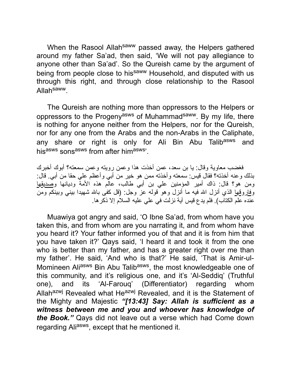When the Rasool Allah<sup>saww</sup> passed away, the Helpers gathered around my father Sa'ad, then said, 'We will not pay allegiance to anyone other than Sa'ad'. So the Qureish came by the argument of being from people close to his<sup>saww</sup> Household, and disputed with us through this right, and through close relationship to the Rasool Allahsaww.

The Qureish are nothing more than oppressors to the Helpers or oppressors to the Progeny<sup>asws</sup> of Muhammad<sup>saww</sup>. By my life, there is nothing for anyone neither from the Helpers, nor for the Qureish, nor for any one from the Arabs and the non-Arabs in the Caliphate, any share or right is only for Ali Bin Abu Talib<sup>asws</sup> and hisasws sonsasws from after himasws'.

فغضب معاویة وقال: یا بن سعد، عمن أخذت هذا وعمن رویته وعمن سمعته؟ أبوك أخبرك بذلك وعنه أخذته؟ فقال قیس: سمعته وأخذته ممن هو خیر من أبي وأعظم علي حقا من أبي. قال: ومن هو؟ قال: ذاك أمیر المؤمنین علي بن أبي طالب، عالم هذه الأمة ودیانها وصدیقها و<u>فاروقها</u> الذي أنزل الله فیه ما أنزل وهو قوله عز وجل: (قل كفى بالله شهیدا بینـي وببینكم ومن عنده علم الكتاب). فلم یدع قیس آیة نزلت في علي علیه السلام إلا ذكرها.

Muawiya got angry and said, 'O Ibne Sa'ad, from whom have you taken this, and from whom are you narrating it, and from whom have you heard it? Your father informed you of that and it is from him that you have taken it?' Qays said, 'I heard it and took it from the one who is better than my father, and has a greater right over me than my father'. He said, 'And who is that?' He said, 'That is Amir-ul-Momineen Ali<sup>asws</sup> Bin Abu Talib<sup>asws</sup>, the most knowledgeable one of this community, and it's religious one, and it's 'Al-Seddiq' (Truthful one), and its 'Al-Farouq' (Differentiator) regarding whom Allah<sup>azwj</sup> Revealed what He<sup>azwj</sup> Revealed, and it is the Statement of the Mighty and Majestic *"[13:43] Say: Allah is sufficient as a witness between me and you and whoever has knowledge of the Book."* Qays did not leave out a verse which had Come down regarding Aliasws, except that he mentioned it.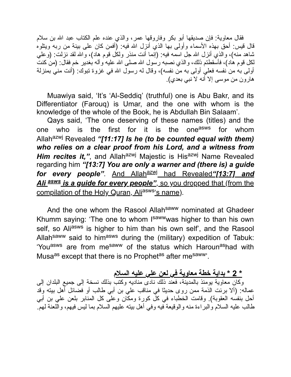فقال معاویة: فإن صدیقها أبو بكر وفاروقها عمر، والذي عنده علم الكتاب عبد االله بن سلام قال قیس: أحق بهذه الأسماء وأولى بها الذي أنزل االله فیه: (أفمن كان على بینة من ربه ویتلوه شاهد منه)، والذي أنزل االله جل اسمه فیه: (إنما أنت منذر ولكل قوم هاد)، واالله لقد نزلت: (وعلي لكل قوم هاد)، فأسقطتم ذلك، والذي نصبه رسول االله صلى االله علیه وآله بغدیر خم فقال: (من كنت أولى به من نفسه فعلي أولى به من نفسه)، وقال له رسول االله في غزوة تبوك: (أنت مني بمنزلة هارون من موسى إلا أنه لا نبي بعدي).

Muawiya said, 'It's 'Al-Seddiq' (truthful) one is Abu Bakr, and its Differentiator (Farouq) is Umar, and the one with whom is the knowledge of the whole of the Book, he is Abdullah Bin Salaam'.

Qays said, 'The one deserving of these names (titles) and the one who is the first for it is the one<sup>asws</sup> for whom Allahazwj Revealed *"[11:17] Is he (to be counted equal with them) who relies on a clear proof from his Lord, and a witness from Him recites it,"*, and Allah<sup>azwj</sup> Majestic is His<sup>azwj</sup> Name Revealed regarding him *"[13:7] You are only a warner and (there is) a guide for every people"*. And Allah<sup>azwj</sup> had Revealed "[13:7] and Ali asws is a guide for every people", so you dropped that (from the compilation of the Holy Quran, Aliasws's name).

And the one whom the Rasool Allah<sup>saww</sup> nominated at Ghadeer Khumm saying: 'The one to whom I<sup>saww</sup>was higher to than his own self, so Aliasws is higher to him than his own self', and the Rasool Allah<sup>saww</sup> said to him<sup>asws</sup> during the (military) expedition of Tabuk: 'You<sup>asws</sup> are from me<sup>saww</sup> of the status which Haroun<sup>as</sup>had with Musa<sup>as</sup> except that there is no Prophet<sup>as</sup> after me<sup>saww</sup>.

**\* 2 \* بدایة خطة معاویة في لعن علي علیه السلام**

وكان معاویة یومئذ بالمدینة، فعند ذلك نادى منادیه وكتب بذلك نسخة إلى جمیع البلدان إلى عماله: (ألا برئت الذمة ممن روى حدیثا في مناقب علي بن أبي طالب أو فضائل أهل بیته وقد أحل بنفسه العقوبة). وقامت الخطباء في كل كورة ومكان وعلى كل المنابر بلعن علي بن أبي طالب علیه السلام والبراءة منه والوقیعة فیه وفي أهل بیته علیهم السلام بما لیس فیهم، واللعنة لهم.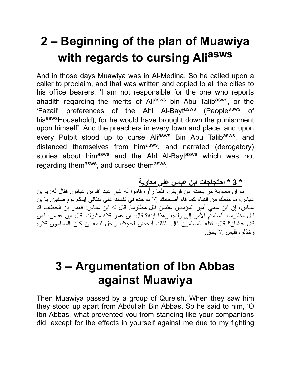# **2 – Beginning of the plan of Muawiya with regards to cursing Ali asws**

And in those days Muawiya was in Al-Medina. So he called upon a caller to proclaim, and that was written and copied to all the cities to his office bearers, 'I am not responsible for the one who reports ahadith regarding the merits of Ali<sup>asws</sup> bin Abu Talib<sup>asws</sup>, or the 'Fazail' preferences of the Ahl Al-Bayt<sup>asws</sup> (People<sup>asws</sup> of hisaswsHousehold), for he would have brought down the punishment upon himself'. And the preachers in every town and place, and upon every Pulpit stood up to curse Ali<sup>asws</sup> Bin Abu Talib<sup>asws</sup>, and distanced themselves from him<sup>asws</sup>, and narrated (derogatory) stories about him<sup>asws</sup> and the Ahl Al-Bayt<sup>asws</sup> which was not regarding them<sup>asws</sup>, and cursed them<sup>asws</sup>.

**\* 3 \* احتجاجات ابن عباس على معاویة** ثم إن معاویة مر بحلقة من قریش، فلما رأوه قاموا له غیر عبد االله بن عباس. فقال له: یا بن عباس، ما منعك من القیام كما قام أصحابك إلا موجدة في نفسك علي بقتالي إیاكم یوم صفین. یا بن عباس، إن ابن عمي أمیر المؤمنین عثمان قتل مظلوما. قال له ابن عباس: فعمر بن الخطاب قد قتل مظلوما، أفسلمتم الأمر إلى ولده، وهذا ابنه؟ قال: إن عمر قتله مشرك. قال ابن عباس: فمن قتل عثمان؟ قال: قتله المسلمون قال: فذلك أدحض لحجتك وأحل لدمه إن كان المسلمون قتلوه وخذلوه فلیس إلا بحق.

## **3 – Argumentation of Ibn Abbas against Muawiya**

Then Muawiya passed by a group of Qureish. When they saw him they stood up apart from Abdullah Bin Abbas. So he said to him, 'O Ibn Abbas, what prevented you from standing like your companions did, except for the effects in yourself against me due to my fighting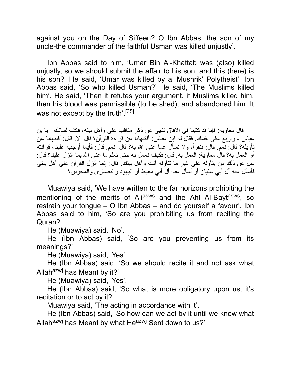against you on the Day of Siffeen? O Ibn Abbas, the son of my uncle-the commander of the faithful Usman was killed unjustly'.

Ibn Abbas said to him, 'Umar Bin Al-Khattab was (also) killed unjustly, so we should submit the affair to his son, and this (here) is his son?' He said, 'Umar was killed by a 'Mushrik' Polytheist'. Ibn Abbas said, 'So who killed Usman?' He said, 'The Muslims killed him'. He said, 'Then it refutes your argument, if Muslims killed him, then his blood was permissible (to be shed), and abandoned him. It was not except by the truth'.<sup>[35]</sup>

قال معاویة: فإنا قد كتبنا في الآفاق ننهى عن ذكر مناقب علي وأهل بیته، فكف لسانك - یا بن عباس - واربع على نفسك. فقال له ابن عباس: أفتنهانا عن قراءة القرآن؟ قال: لا. قال: أفتنهانا عن تأویله؟ قال: نعم. قال: فنقرأه ولا نسأل عما عنى االله به؟ قال: نعم. قال: فأیما أوجب علینا، قرائته أو العمل به؟ قال معاویة: العمل به. قال: فكیف نعمل به حتى نعلم ما عنى االله بما أنزل علینا؟ قال: سل عن ذلك من یتأوله على غیر ما تتأوله أنت وأهل بیتك. قال: إنما أنزل القرآن على أهل بیتي فأسأل عنه آل أبي سفیان أو أسأل عنه آل أبي معیط أو الیهود والنصارى والمجوس؟

Muawiya said, 'We have written to the far horizons prohibiting the mentioning of the merits of Ali<sup>asws</sup> and the Ahl Al-Bayt<sup>asws</sup>, so restrain your tongue – O Ibn Abbas – and do yourself a favour'. Ibn Abbas said to him, 'So are you prohibiting us from reciting the Quran?'

He (Muawiya) said, 'No'.

He (Ibn Abbas) said, 'So are you preventing us from its meanings?'

He (Muawiya) said, 'Yes'.

He (Ibn Abbas) said, 'So we should recite it and not ask what Allah $^{azwj}$  has Meant by it?'

He (Muawiya) said, 'Yes'.

He (Ibn Abbas) said, 'So what is more obligatory upon us, it's recitation or to act by it?'

Muawiya said, 'The acting in accordance with it'.

He (Ibn Abbas) said, 'So how can we act by it until we know what Allah<sup>azwj</sup> has Meant by what He<sup>azwj</sup> Sent down to us?'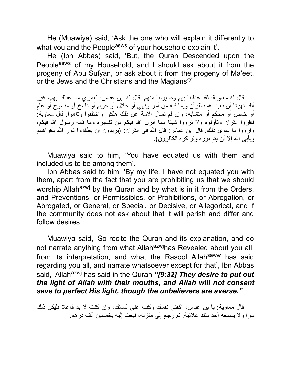He (Muawiya) said, 'Ask the one who will explain it differently to what you and the People<sup>asws</sup> of your household explain it.

He (Ibn Abbas) said, 'But, the Quran Descended upon the Peopleasws of my Household, and I should ask about it from the progeny of Abu Sufyan, or ask about it from the progeny of Ma'eet, or the Jews and the Christians and the Magians?'

قال له معاویة: فقد عدلتنا بهم وصیرتنا منهم. قال له ابن عباس: لعمري ما أعدلك بهم، غیر أنك نهیتنا أن نعبد االله بالقرآن وبما فیه من أمر ونهي أو حلال أو حرام أو ناسخ أو منسوخ أو عام أو خاص أو محكم أو متشابه، وإن لم تسأل الأمة عن ذلك هلكوا واختلفوا وتاهوا. قال معاویة: فاقرؤا القرآن وتأولوه ولا ترووا شیئا مما أنزل االله فیكم من تفسیره وما قاله رسول االله فیكم، وارووا ما سوى ذلك. قال ابن عباس: قال االله في القرآن: (یریدون أن یطفؤوا نور االله بأفواههم ویأبى االله إلا أن یتم نوره ولو كره الكافرون).

Muawiya said to him, 'You have equated us with them and included us to be among them'.

Ibn Abbas said to him, 'By my life, I have not equated you with them, apart from the fact that you are prohibiting us that we should worship Allah<sup>azwj</sup> by the Quran and by what is in it from the Orders, and Preventions, or Permissibles, or Prohibitions, or Abrogation, or Abrogated, or General, or Special, or Decisive, or Allegorical, and if the community does not ask about that it will perish and differ and follow desires.

Muawiya said, 'So recite the Quran and its explanation, and do not narrate anything from what Allah<sup>azwj</sup>has Revealed about you all, from its interpretation, and what the Rasool Allahsaww has said regarding you all, and narrate whatsoever except for that', Ibn Abbas said, 'Allah<sup>azwj</sup> has said in the Quran "[9:32] They desire to put out *the light of Allah with their mouths, and Allah will not consent save to perfect His light, though the unbelievers are averse."*

قال معاویة: یا بن عباس، اكفني نفسك وكف عني لسانك، وإن كنت لا بد فاعلا فلیكن ذلك سرا ولا یسمعه أحد منك علانیة. ثم رجع إلى منزله، فبعث إلیه بخمسین ألف درهم.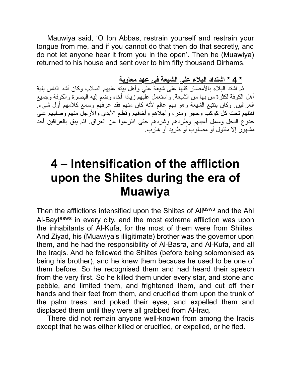Mauwiya said, 'O Ibn Abbas, restrain yourself and restrain your tongue from me, and if you cannot do that then do that secretly, and do not let anyone hear it from you in the open'. Then he (Muawiya) returned to his house and sent over to him fifty thousand Dirhams.

#### **\* 4 \* اشتداد البلاء على الشیعة في عهد معاویة**

ثم اشتد البلاء بالأمصار كلها على شیعة علي وأهل بیته علیهم السلام، وكان أشد الناس بلیة أهل الكوفة لكثرة من بها من الشیعة. واستعمل علیهم زیادا أخاه وضم إلیه البصرة والكوفة وجمیع العراقین. وكان یتتبع الشیعة وهو بهم عالم لأنه كان منهم فقد عرفهم وسمع كلامهم أول شيء. فقتلهم تحت كل كوكب وحجر ومدر، وأجلاهم وأخافهم وقطع الأیدي والأرجل منهم وصلبهم على جذوع النخل وسمل أعینهم وطردهم وشردهم حتى انتزعوا عن العراق. فلم یبق بالعراقین أحد مشهور إلا مقتول أو مصلوب أو طرید أو هارب.

## **4 – Intensification of the affliction upon the Shiites during the era of Muawiya**

Then the afflictions intensified upon the Shiites of Aliasws and the Ahl Al-Bayt<sup>asws</sup> in every city, and the most extreme affliction was upon the inhabitants of Al-Kufa, for the most of them were from Shiites. And Ziyad, his (Muawiya's illigitimate) brother was the governor upon them, and he had the responsibility of Al-Basra, and Al-Kufa, and all the Iraqis. And he followed the Shiites (before being solomonised as being his brother), and he knew them because he used to be one of them before. So he recognised them and had heard their speech from the very first. So he killed them under every star, and stone and pebble, and limited them, and frightened them, and cut off their hands and their feet from them, and crucified them upon the trunk of the palm trees, and poked their eyes, and expelled them and displaced them until they were all grabbed from Al-Iraq.

There did not remain anyone well-known from among the Iraqis except that he was either killed or crucified, or expelled, or he fled.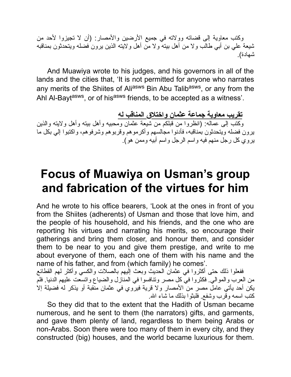وكتب معاویة إلى قضاته وولاته في جمیع الأرضین والأمصار: (أن لا تجیزوا لأحد من شیعة علي بن أبي طالب ولا من أهل بیته ولا من أهل ولایته الذین یرون فضله ویتحدثون بمناقبه شهادة).

And Muawiya wrote to his judges, and his governors in all of the lands and the cities that, 'It is not permitted for anyone who narrates any merits of the Shiites of Ali<sup>asws</sup> Bin Abu Talib<sup>asws</sup>, or any from the Ahl Al-Bayt<sup>asws</sup>, or of his<sup>asws</sup> friends, to be accepted as a witness'.

**تقریب معاویة جماعة عثمان واختلاق المناقب له** وكتب إلى عماله: (انظروا من قبلكم من شیعة عثمان ومحبیه وأهل بیته وأهل ولایته والذین یرون فضله ویتحدثون بمناقبه، فأدنوا مجالسهم وأكرموهم وقربوهم وشرفوهم، واكتبوا إلي بكل ما یروي كل رجل منهم فیه واسم الرجل واسم أبیه وممن هو).

## **Focus of Muawiya on Usman's group and fabrication of the virtues for him**

And he wrote to his office bearers, 'Look at the ones in front of you from the Shiites (adherents) of Usman and those that love him, and the people of his household, and his friends, and the one who are reporting his virtues and narrating his merits, so encourage their gatherings and bring them closer, and honour them, and consider them to be near to you and give them prestige, and write to me about everyone of them, each one of them with his name and the name of his father, and from (which family) he comes'.

ففعلوا ذلك حتى أكثروا في عثمان الحدیث وبعث إلیهم بالصلات والكسي وأكثر لهم القطائع من العرب والموالي. فكثروا في كل مصر وتنافسوا في المنازل والضیاع واتسعت علیهم الدنیا. فلم یكن أحد یأتي عامل مصر من الأمصار ولا قریة فیروي في عثمان منقبة أو یذكر له فضیلة إلا كتب اسمه وقرب وشفع. فلبثوا بذلك ما شاء االله.

So they did that to the extent that the Hadith of Usman became numerous, and he sent to them (the narrators) gifts, and garments, and gave them plenty of land, regardless to them being Arabs or non-Arabs. Soon there were too many of them in every city, and they constructed (big) houses, and the world became luxurious for them.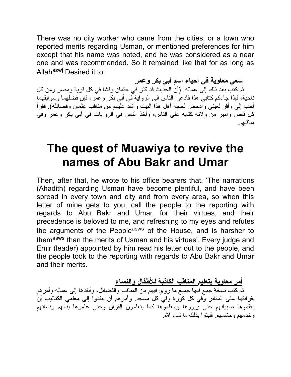There was no city worker who came from the cities, or a town who reported merits regarding Usman, or mentioned preferences for him except that his name was noted, and he was considered as a near one and was recommended. So it remained like that for as long as Allah<sup>azwj</sup> Desired it to.

**سعي معاویة في إحیاء اسم أبي بكر وعمر** ثم كتب بعد ذلك إلى عماله: (أن الحدیث قد كثر في عثمان وفشا في كل قریة ومصر ومن كل ناحیة، فإذا جاءكم كتابي هذا فادعوا الناس إلى الروایة في أبي بكر وعمر، فإن فضلهما وسوابقهما أحب إلي وأقر لعیني وأدحض لحجة أهل هذا البیت وأشد علیهم من مناقب عثمان وفضائله). فقرأ كل قاض وأمیر من ولاته كتابه على الناس، وأخذ الناس في الروایات في أبي بكر وعمر وفي مناقبهم.

## **The quest of Muawiya to revive the names of Abu Bakr and Umar**

Then, after that, he wrote to his office bearers that, 'The narrations (Ahadith) regarding Usman have become plentiful, and have been spread in every town and city and from every area, so when this letter of mine gets to you, call the people to the reporting with regards to Abu Bakr and Umar, for their virtues, and their precedence is beloved to me, and refreshing to my eyes and refutes the arguments of the People<sup>asws</sup> of the House, and is harsher to them<sup>asws</sup> than the merits of Usman and his virtues'. Every judge and Emir (leader) appointed by him read his letter out to the people, and the people took to the reporting with regards to Abu Bakr and Umar and their merits.

**أمر معاویة بتعلیم المناقب الكاذبة للأطفال والنساء**

ثم كتب نسخة جمع فیها جمیع ما روي فیهم من المناقب والفضائل، وأنفذها إلى عماله وأمرهم بقرائتها على المنابر وفي كل كورة وفي كل مسجد. وأمرهم أن ینفذوا إلى معلمي الكتاتیب أن یعلموها صبیانهم حتى یرووها ویتعلموها كما یتعلمون القرآن وحتى علموها بناتهم ونسائهم وخدمهم وحشمهم. فلبثوا بذلك ما شاء االله.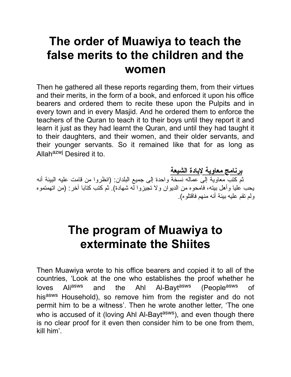## **The order of Muawiya to teach the false merits to the children and the women**

Then he gathered all these reports regarding them, from their virtues and their merits, in the form of a book, and enforced it upon his office bearers and ordered them to recite these upon the Pulpits and in every town and in every Masjid. And he ordered them to enforce the teachers of the Quran to teach it to their boys until they report it and learn it just as they had learnt the Quran, and until they had taught it to their daughters, and their women, and their older servants, and their younger servants. So it remained like that for as long as Allah<sup>azwj</sup> Desired it to.

**برنامج معاویة لإبادة الشیعة** ثم كتب معاویة إلى عماله نسخة واحدة إلى جمیع البلدان: (انظروا من قامت علیه البینة أنه یحب علیا وأهل بیته، فامحوه من الدیوان ولا تجیزوا له شهادة). ثم كتب كتابا آخر: (من اتهمتموه ولم تقم علیه بینة أنه منهم فاقتلوه).

## **The program of Muawiya to exterminate the Shiites**

Then Muawiya wrote to his office bearers and copied it to all of the countries, 'Look at the one who establishes the proof whether he loves Aliasws and the Ahl Al-Baytasws (Peopleasws of hisasws Household), so remove him from the register and do not permit him to be a witness'. Then he wrote another letter, 'The one who is accused of it (loving Ahl Al-Bayt<sup>asws</sup>), and even though there is no clear proof for it even then consider him to be one from them, kill him'.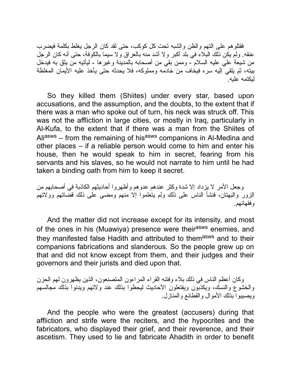فقتلوهم على التهم والظن والشبه تحت كل كوكب، حتى لقد كان الرجل یغلط بكلمة فیضرب عنقه. ولم یكن ذلك البلاء في بلد أكبر ولا أشد منه بالعراق ولا سیما بالكوفة، حتى أنه كان الرجل من شیعة علي علیه السلام - وممن بقي من أصحابه بالمدینة وغیرها - لیأتیه من یثق به فیدخل بیته، ثم یلقي إلیه سره فیخاف من خادمه ومملوكه، فلا یحدثه حتى یأخذ علیه الأیمان المغلظة لیكتمه علیه.

So they killed them (Shiites) under every star, based upon accusations, and the assumption, and the doubts, to the extent that if there was a man who spoke out of turn, his neck was struck off. This was not the affliction in large cities, or mostly in Iraq, particularly in Al-Kufa, to the extent that if there was a man from the Shiites of Aliasws – from the remaining of hisasws companions in Al-Medina and other places – if a reliable person would come to him and enter his house, then he would speak to him in secret, fearing from his servants and his slaves, so he would not narrate to him until he had taken a binding oath from him to keep it secret.

وجعل الأمر لا یزداد إلا شدة وكثر عندهم عدوهم وأظهروا أحادیثهم الكاذبة في أصحابهم من الزور والبهتان، فنشأ الناس على ذلك ولم یتعلموا إلا منهم ومضى على ذلك قضاتهم وولاتهم وفقهائهم.

And the matter did not increase except for its intensity, and most of the ones in his (Muawiya) presence were their<sup>asws</sup> enemies, and they manifested false Hadith and attributed to themasws and to their companions fabrications and slanderous. So the people grew up on that and did not know except from them, and their judges and their governors and their jurists and died upon that.

وكان أعظم الناس في ذلك بلاء وفتنه القراء المراءون المتصنعون، الذین یظهرون لهم الحزن والخشوع والنسك، ویكذبون ویفتعلون الأحادیث لیحظوا بذلك عند ولاتهم ویدنوا بذلك مجالسهم ویصیبوا بذلك الأموال والقطائع والمنازل.

And the people who were the greatest (accusers) during that affliction and strife were the reciters, and the hypocrites and the fabricators, who displayed their grief, and their reverence, and their ascetism. They used to lie and fabricate Ahadith in order to benefit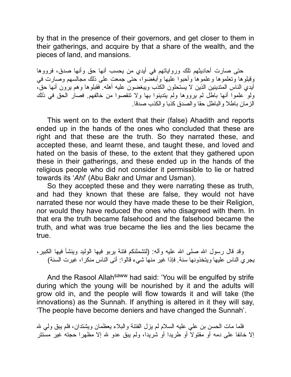by that in the presence of their governors, and get closer to them in their gatherings, and acquire by that a share of the wealth, and the pieces of land, and mansions.

حتى صارت أحادیثهم تلك وروایاتهم في أیدي من یحسب أنها حق وأنها صدق، فرووها وقبلوها وتعلموها وعلموها وأحبوا علیها وأبغضوا، حتى جمعت على ذلك مجالسهم وصارت في أیدي الناس المتدینین الذین لا یستحلون الكذب ویبغضون علیه أهله. فقبلوها وهم یرون أنها حق، ولو علموا أنها باطل لم یرووها ولم یتدینوا بها ولا تنقصوا من خالفهم. فصار الحق في ذلك الزمان باطلا والباطل حقا والصدق كذبا والكذب صدقا.

This went on to the extent that their (false) Ahadith and reports ended up in the hands of the ones who concluded that these are right and that these are the truth. So they narrated these, and accepted these, and learnt these, and taught these, and loved and hated on the basis of these, to the extent that they gathered upon these in their gatherings, and these ended up in the hands of the religious people who did not consider it permissible to lie or hatred towards its '*Ahl*' (Abu Bakr and Umar and Usman).

So they accepted these and they were narrating these as truth, and had they known that these are false, they would not have narrated these nor would they have made these to be their Religion, nor would they have reduced the ones who disagreed with them. In that era the truth became falsehood and the falsehood became the truth, and what was true became the lies and the lies became the true.

وقد قال رسول الله صلى الله علیه وآله: (لتشملنكم فتنة یربو فیها الولید وینشأ فیها الكبیر، یجري الناس علیها ویتخذونها سنة. فإذا غیر منها شيء قالوا: أتى الناس منكرا، غیرت السنة)

And the Rasool Allah<sup>saww</sup> had said: 'You will be engulfed by strife during which the young will be nourished by it and the adults will grow old in, and the people will flow towards it and will take (the innovations) as the Sunnah. If anything is altered in it they will say, 'The people have become deniers and have changed the Sunnah'.

فلما مات الحسن بن علي علیه السلام لم یزل الفتنة والبلاء یعظمان ویشتدان، فلم یبق ولي الله إلا خائفا على دمه أو مقتولا أو طریدا أو شریدا، ولم یبق عدو الله إلا مظهرا حجته غیر مستتر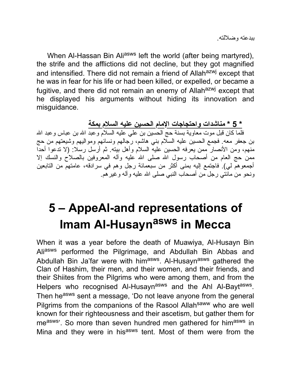When Al-Hassan Bin Aliasws left the world (after being martyred), the strife and the afflictions did not decline, but they got magnified and intensified. There did not remain a friend of Allah<sup>azwj</sup> except that he was in fear for his life or had been killed, or expelled, or became a fugitive, and there did not remain an enemy of Allah<sup>azwj</sup> except that he displayed his arguments without hiding its innovation and misguidance.

**\* 5 \* مناشدات واحتجاجات الإمام الحسین علیه السلام بمكة** فلما كان قبل موت معاویة بسنة حج الحسین بن علي علیه السلام وعبد االله بن عباس وعبد االله بن جعفر معه. فجمع الحسین علیه السلام بني هاشم، رجالهم ونسائهم وموالیهم وشیعتهم من حج منهم، ومن الأنصار ممن یعرفه الحسین علیه السلام وأهل بیته. ثم أرسل رسلا: (لا تدعوا أحدا ممن حج العام من أصحاب رسول الله صلى الله علیه وأله المعروفین بالصلاح والنسك إلا أجمعوهم لي). فاجتمع إلیه بمنى أكثر من سبعمائة رجل وهم في سرادقه، عامتهم من التابعین ونحو من مائتي رجل من أصحاب النبي صلى االله علیه وآله وغیرهم.

# **5 – AppeAl-and representations of Imam Al-Husayn asws in Mecca**

When it was a year before the death of Muawiya, Al-Husayn Bin Aliasws performed the Pilgrimage, and Abdullah Bin Abbas and Abdullah Bin Ja'far were with him<sup>asws</sup>. Al-Husayn<sup>asws</sup> gathered the Clan of Hashim, their men, and their women, and their friends, and their Shiites from the Pilgrims who were among them, and from the Helpers who recognised Al-Husayn<sup>asws</sup> and the Ahl Al-Bayt<sup>asws</sup>. Then he<sup>asws</sup> sent a message, 'Do not leave anyone from the general Pilgrims from the companions of the Rasool Allahsaww who are well known for their righteousness and their ascetism, but gather them for measws'. So more than seven hundred men gathered for himasws in Mina and they were in his<sup>asws</sup> tent. Most of them were from the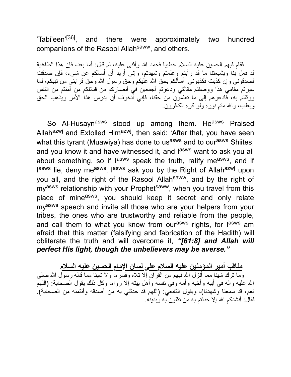'Tabi'een'<sup>[36]</sup>, and there were approximately two hundred companions of the Rasool Allah<sup>saww</sup>, and others.

فقام فیهم الحسین علیه السلام خطیبا فحمد االله وأثنى علیه، ثم قال: أما بعد، فإن هذا الطاغیة قد فعل بنا وبشیعتنا ما قد رأیتم وعلمتم وشهدتم، وإني أرید أن أسألكم عن شيء، فإن صدقت فصدقوني وإن كذبت فكذبوني. أسألكم بحق االله علیكم وحق رسول االله وحق قرابتي من نبیكم، لما سیرتم مقامي هذا ووصفتم مقالتي ودعوتم أجمعین في أنصاركم من قبائلكم من آمنتم من الناس ووثقتم به، فادعوهم إلى ما تعلمون من حقنا، فإني أتخوف أن یدرس هذا الأمر ویذهب الحق ویغلب، واالله متم نوره ولو كره الكافرون.

So Al-Husayn<sup>asws</sup> stood up among them. He<sup>asws</sup> Praised Allah<sup>azwj</sup> and Extolled Him<sup>azwj</sup>, then said: 'After that, you have seen what this tyrant (Muawiya) has done to us<sup>asws</sup> and to our<sup>asws</sup> Shiites, and you know it and have witnessed it, and l<sup>asws</sup> want to ask you all about something, so if l<sup>asws</sup> speak the truth, ratify me<sup>asws</sup>, and if lasws lie, deny me<sup>asws</sup>. I<sup>asws</sup> ask you by the Right of Allah<sup>azwj</sup> upon you all, and the right of the Rasool Allahsaww, and by the right of my<sup>asws</sup> relationship with your Prophet<sup>saww</sup>, when you travel from this place of mine<sup>asws</sup>, you should keep it secret and only relate myasws speech and invite all those who are your helpers from your tribes, the ones who are trustworthy and reliable from the people, and call them to what you know from our<sup>asws</sup> rights, for l<sup>asws</sup> am afraid that this matter (falsifying and fabrication of the Hadith) will obliterate the truth and will overcome it, *"[61:8] and Allah will perfect His light, though the unbelievers may be averse."*

**مناقب أمیر المؤمنین علیه السلام على لسان الإمام الحسین علیه السلام** وما ترك شیئا مما أنزل االله فیهم من القرآن إلا تلاه وفسره، ولا شیئا مما قاله رسول االله صلى االله علیه وآله في أبیه وأخیه وأمه وفي نفسه وأهل بیته إلا رواه، وكل ذلك یقول الصحابة: (اللهم نعم، قد سمعنا وشهدنا)، ویقول التابعي: (اللهم قد حدثني به من أصدقه وأئتمنه من الصحابة). فقال: أنشدكم االله إلا حدثتم به من تثقون به وبدینه.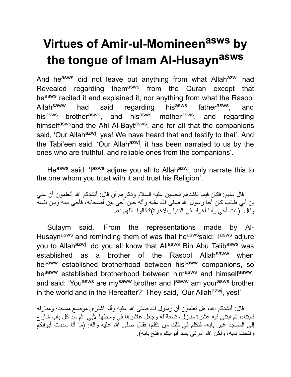# **Virtues of Amir-ul-Momineen asws by the tongue of Imam Al-Husayn asws**

And he<sup>asws</sup> did not leave out anything from what Allahazwj had Revealed regarding them<sup>asws</sup> from the Quran except that heasws recited it and explained it, nor anything from what the Rasool Allah<sup>saww</sup> had said regarding his<sup>asws</sup> father<sup>asws</sup>, , and his<sup>asws</sup> brother<sup>asws</sup>, and his<sup>asws</sup> mother<sup>asws</sup>, and regarding himself<sup>asws</sup>and the Ahl Al-Bayt<sup>asws</sup>, and for all that the companions said, 'Our Allah<sup>azwj</sup>, yes! We have heard that and testify to that'. And the Tabi'een said, 'Our Allah<sup>azwj</sup>, it has been narrated to us by the ones who are truthful, and reliable ones from the companions'.

He<sup>asws</sup> said: 'I<sup>asws</sup> adjure you all to Allah<sup>azwj</sup>, only narrate this to the one whom you trust with it and trust his Religion'.

قال سلیم: فكان فیما ناشدهم الحسین علیه السلام وذكرهم أن قال: أنشدكم االله أتعلمون أن علي بن أبي طالب كان أخا رسول الله صلى الله علیه و آله حین آخى بین أصحابه، فآخى بینه وبین نفسه وقال: (أنت أخي وأنا أخوك في الدنیا والآخرة)؟ قالوا: اللهم نعم.

Sulaym said, 'From the representations made by Al-Husayn<sup>asws</sup> and reminding them of was that he<sup>asws</sup> said: 'lasws adjure you to Allah<sup>azwj</sup>, do you all know that Ali<sup>asws</sup> Bin Abu Talib<sup>asws</sup> was established as a brother of the Rasool Allah<sup>saww</sup> when hesaww established brotherhood between hissaww companions, so hesaww established brotherhood between himasws and himselfsaww, and said: 'You<sup>asws</sup> are my<sup>saww</sup> brother and I<sup>saww</sup> am your<sup>asws</sup> brother in the world and in the Hereafter?' They said, 'Our Allah<sup>azwj</sup>, yes!'

قال: أنشدكم الله، هل تعلمون أن رسول الله صلى الله علیه وآله اشترى موضع مسجده ومنازله فابتناه، ثم ابتنى فیه عشرة منازل، تسعة له وجعل عاشرها في وسطها لأبي. ثم سد كل باب شارع إلى المسجد غیر بابه، فتكلم في ذلك من تكلم، فقال صلى االله علیه وآله: (ما أنا سددت أبوابكم وفتحت بابه، ولكن االله أمرني بسد أبوابكم وفتح بابه).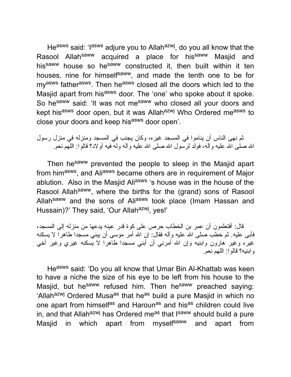He<sup>asws</sup> said: 'I<sup>asws</sup> adjure you to Allah<sup>azwj</sup>, do you all know that the Rasool Allah<sup>saww</sup> acquired a place for his<sup>saww</sup> Masjid and his<sup>saww</sup> house so he<sup>saww</sup> constructed it, then built within it ten houses, nine for himself<sup>saww</sup>, and made the tenth one to be for my<sup>asws</sup> father<sup>asws</sup>. Then he<sup>asws</sup> closed all the doors which led to the Masjid apart from his<sup>asws</sup> door. The 'one' who spoke about it spoke. So hesaww said: 'It was not mesaww who closed all your doors and kept hisasws door open, but it was Allahazwj Who Ordered measws to close your doors and keep his<sup>asws</sup> door open'.

ثم نهى الناس أن یناموا في المسجد غیره، وكان یجنب في المسجد ومنزله في منزل رسول االله صلى االله علیه وآله، فولد لرسول االله صلى االله علیه وآله وله فیه أولاد؟ قالوا: اللهم نعم.

Then he<sup>saww</sup> prevented the people to sleep in the Masjid apart from him<sup>asws</sup>, and Ali<sup>asws</sup> became others are in requirement of Major ablution. Also in the Masjid Ali<sup>asws</sup> 's house was in the house of the Rasool Allah<sup>saww</sup>, where the births for the (grand) sons of Rasool Allah<sup>saww</sup> and the sons of Ali<sup>asws</sup> took place (Imam Hassan and Hussain)?' They said, 'Our Allah<sup>azwj</sup>, yes!'

قال: أفتعلمون أن عمر بن الخطاب حرص على كوة قدر عینه یدعها من منزله إلى المسجد، فأبى علیه. ثم خطب صلى االله علیه وآله فقال: إن االله أمر موسى أن یبني مسجدا طاهرا لا یسكنه غیره وغیر هارون وابنیه وإن الله أمرني أن أبني مسجدا طاهرا لا یسكنه غیري وغیر أخي وابنیه؟ قالوا: اللهم نعم.

Heasws said: 'Do you all know that Umar Bin Al-Khattab was keen to have a niche the size of his eye to be left from his house to the Masjid, but he<sup>saww</sup> refused him. Then he<sup>saww</sup> preached saying: 'Allah<sup>azwj</sup> Ordered Musa<sup>as</sup> that he<sup>as</sup> build a pure Masjid in which no one apart from himself<sup>as</sup> and Haroun<sup>as</sup> and his<sup>as</sup> children could live in, and that Allah<sup>azwj</sup> has Ordered me<sup>as</sup> that I<sup>saww</sup> should build a pure Masjid in which apart from myself<sup>saww</sup> and apart from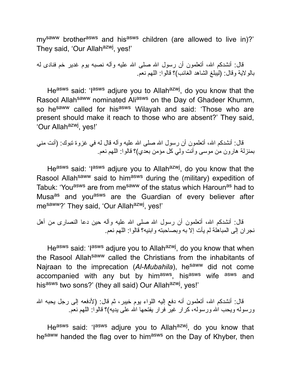my<sup>saww</sup> brother<sup>asws</sup> and his<sup>asws</sup> children (are allowed to live in)?' They said, 'Our Allah<sup>azwj</sup>, yes!'

قال: أنشدكم الله، أتعلمون أن رسول الله صلى الله علیه وآله نصبه یوم غدیر خم فنادى له بالولایة وقال: (لیبلغ الشاهد الغائب)؟ قالوا: اللهم نعم.

He<sup>asws</sup> said: 'I<sup>asws</sup> adjure you to Allah<sup>azwj</sup>, do you know that the Rasool Allah<sup>saww</sup> nominated Ali<sup>asws</sup> on the Day of Ghadeer Khumm, so he<sup>saww</sup> called for his<sup>asws</sup> Wilayah and said: 'Those who are present should make it reach to those who are absent?' They said, 'Our Allah<sup>azwj</sup>, yes!'

قال: أنشدكم الله، أتعلمون أن رسول الله صلى الله علیه وآله قال له في غزوة تبوك: (أنت مني بمنزلة هارون من موسى وأنت ولي كل مؤمن بعدي)؟ قالوا: اللهم نعم.

He<sup>asws</sup> said: 'I<sup>asws</sup> adjure you to Allah<sup>azwj</sup>, do you know that the Rasool Allah<sup>saww</sup> said to him<sup>asws</sup> during the (military) expedition of Tabuk: 'You<sup>asws</sup> are from me<sup>saww</sup> of the status which Haroun<sup>as</sup> had to Musa<sup>as</sup> and you<sup>asws</sup> are the Guardian of every believer after mesaww?' They said, 'Our Allah<sup>azwj</sup>, yes!'

قال: أنشدكم الله، أتعلمون أن رسول الله صلى الله علیه وآله حین دعا النصار ى من أهل نجران إلى المباهلة لم یأت إلا به وبصاحبته وابنیه؟ قالوا: اللهم نعم.

He<sup>asws</sup> said: 'l<sup>asws</sup> adjure you to Allah<sup>azwj</sup>, do you know that when the Rasool Allah<sup>saww</sup> called the Christians from the inhabitants of Najraan to the imprecation (Al-Mubahila), he<sup>saww</sup> did not come accompanied with any but by him<sup>asws</sup>, his<sup>asws</sup> wife <sup>asws</sup> and hisasws two sons?' (they all said) Our Allahazwj, yes!'

قال: أنشدكم الله، أتعلمون أنه دفع إلیه اللواء یوم خیبر ، ثم قال: (لأدفعه إلى رجل یحبه الله ورسوله ویحب الله ورسوله، كرار غیر فرار یفتحها الله على یدیه)؟ قالوًا: اللهم نعم

He<sup>asws</sup> said: 'I<sup>asws</sup> adjure you to Allah<sup>azwj</sup>, do you know that hesaww handed the flag over to himasws on the Day of Khyber, then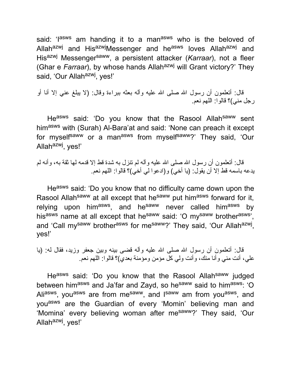said: 'lasws am handing it to a manasws who is the beloved of Allah<sup>azwj</sup> and His<sup>azwj</sup>Messenger and he<sup>asws</sup> loves Allah<sup>azwj</sup> and His<sup>azwj</sup> Messenger<sup>saww</sup>, a persistent attacker (*Karraar*), not a fleer (Ghar e *Farraar*), by whose hands Allah<sup>azwj</sup> will Grant victory?' They said, 'Our Allah<sup>azwj</sup>, yes!'

قال: أتعلمون أن رسول الله صلى الله علیه وأله بعثه ببراءة وقال: (لا یبلغ عني إلا أنا أو رجل مني)؟ قالوا: اللهم نعم.

Heasws said: 'Do you know that the Rasool Allah<sup>saww</sup> sent himasws with (Surah) Al-Bara'at and said: 'None can preach it except for myself<sup>saww</sup> or a man<sup>asws</sup> from myself<sup>saww</sup>?' They said, 'Our Allah<sup>azwj</sup>, yes!'

قال: أتعلمون أن رسول االله صلى االله علیه وآله لم تنزل به شدة قط إلا قدمه لها ثقة به، وأنه لم یدعه باسمه قط إلا أن یقول: (یا أخي) و(ادعوا لي أخي)؟ قالوا: اللهم نعم.

Heasws said: 'Do you know that no difficulty came down upon the Rasool Allah<sup>saww</sup> at all except that he<sup>saww</sup> put him<sup>asws</sup> forward for it, relying upon him<sup>asws</sup>, and he<sup>saww</sup> never called him<sup>asws</sup> by hisasws name at all except that he<sup>saww</sup> said: 'O mysaww brotherasws', and 'Call my<sup>saww</sup> brother<sup>asws</sup> for me<sup>saww</sup>?' They said, 'Our Allah<sup>azwj</sup>, yes!'

قال: أتعلمون أن رسول الله صلى الله علیه وآله قضى بینه وبین جعفر وزید، فقال له: (یا علي، أنت مني وأنا منك، وأنت ولي كل مؤمن ومؤمنة بعدي)؟ قالوا: اللهم نعم.

Heasws said: 'Do you know that the Rasool Allah<sup>saww</sup> judged between himasws and Ja'far and Zayd, so he<sup>saww</sup> said to himasws: 'O Ali<sup>asws</sup>, you<sup>asws</sup> are from me<sup>saww</sup>, and l<sup>saww</sup> am from you<sup>asws</sup>, and you<sup>asws</sup> are the Guardian of every 'Momin' believing man and 'Momina' every believing woman after me<sup>saww</sup>?' They said, 'Our Allah<sup>azwj</sup>, yes!'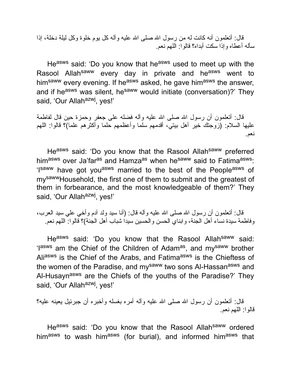قال: أتعلمون أنه كانت له من رسول الله صلى الله علیه وآله كل یوم خلوة وكل لیلة دخلة، إذا سأله أعطاه وإذا سكت أبداه؟ قالوا: اللهم نعم.

Heasws said: 'Do you know that heasws used to meet up with the Rasool Allah<sup>saww</sup> every day in private and he<sup>asws</sup> went to him<sup>saww</sup> every evening. If he<sup>asws</sup> asked, he gave him<sup>asws</sup> the answer, and if he<sup>asws</sup> was silent, he<sup>saww</sup> would initiate (conversation)?' They said, 'Our Allah<sup>azwj</sup>, yes!'

قال: أتعلمون أن رسول الله صلى الله علیه وأله فضله على جعفر وحمزة حین قال لفاطمة علیها السلام: (زوجتك خیر أهل بیتي، أقدمهم سلما وأعظمهم حلما وأكثرهم علما)؟ قالوا: اللهم نعم.

Heasws said: 'Do you know that the Rasool Allahsaww preferred himasws over Ja'far<sup>as</sup> and Hamza<sup>as</sup> when he<sup>saww</sup> said to Fatima<sup>asws</sup>: 'Isaww have got you<sup>asws</sup> married to the best of the People<sup>asws</sup> of mysawwHousehold, the first one of them to submit and the greatest of them in forbearance, and the most knowledgeable of them?' They said, 'Our Allah<sup>azwj</sup>, yes!'

قال: أتعلمون أن رسول الله صلى الله علیه وأله قال: (أنا سید ولد أدم وأخي علي سید العرب، وفاطمة سیدة نساء أهل الجنة، وابناي الحسن والحسین سیدا شباب أهل الجنة)؟ قالوا: اللهم نعم.

Heasws said: 'Do you know that the Rasool Allah<sup>saww</sup> said: 'I<sup>asws</sup> am the Chief of the Children of Adam<sup>as</sup>, and my<sup>saww</sup> brother Aliasws is the Chief of the Arabs, and Fatima<sup>asws</sup> is the Chieftess of the women of the Paradise, and my<sup>saww</sup> two sons Al-Hassan<sup>asws</sup> and Al-Husayn<sup>asws</sup> are the Chiefs of the youths of the Paradise?' They said, 'Our Allah<sup>azwj</sup>, yes!'

قال: أتعلمون أن ر سول الله صلَّى الله علیه وآله أمر ه بغسله و أخبر ه أن جبرئیل یعینه علیه؟ قالوا: اللهم نعم.

Heasws said: 'Do you know that the Rasool Allah<sup>saww</sup> ordered himasws to wash himasws (for burial), and informed himasws that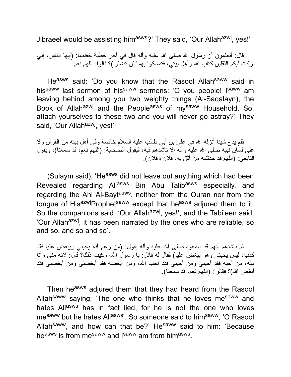Jibraeel would be assisting him<sup>asws</sup>?' They said, 'Our Allah<sup>azwj</sup>, yes!'

قال: أتعلمون أن رسول الله صلى الله علیه وآله قال في آخر خطبة خطبها: (أيها الناس، إني تركت فیكم الثقلین كتاب االله وأهل بیتي، فتمسكوا بهما لن تضلوا)؟ قالوا: اللهم نعم.

Heasws said: 'Do you know that the Rasool Allahsaww said in his<sup>saww</sup> last sermon of his<sup>saww</sup> sermons: 'O you people! I<sup>saww</sup> am leaving behind among you two weighty things (Al-Saqalayn), the Book of Allah<sup>azwj</sup> and the People<sup>asws</sup> of my<sup>saww</sup> Household. So, attach yourselves to these two and you will never go astray?' They said, 'Our Allah<sup>azwj</sup>, yes!'

فلم یدع شیئا أنزله االله في علي بن أبي طالب علیه السلام خاصة وفي أهل بیته من القرآن ولا على لسان نبیه صلى الله علیه وأله إلا ناشدهم فیه، فیقول الصحابة: (اللهم نعم، قد سمعنا)، ویقول التابعي: (اللهم قد حدثنیه من أثق به، فلان وفلان).

(Sulaym said), 'He<sup>asws</sup> did not leave out anything which had been Revealed regarding Aliasws Bin Abu Talibasws especially, and regarding the Ahl Al-Bayt<sup>asws</sup>, neither from the Quran nor from the tongue of HisazwjProphet<sup>saww</sup> except that he<sup>asws</sup> adjured them to it. So the companions said, 'Our Allah<sup>azwj</sup>, yes!', and the Tabi'een said, 'Our Allah<sup>azwj</sup>, it has been narrated by the ones who are reliable, so and so, and so and so'.

ثم ناشدهم أنهم قد سمعوه صلى االله علیه وآله یقول: (من زعم أنه یحبني ویبغض علیا فقد كذب، لیس یحبني وهو یبغض علیا) فقال له قائل: یا رسول االله، وكیف ذلك؟ قال: لأنه مني وأنا منه، من أحبه فقد أحبني ومن أحبني فقد أحب الله، ومن أبغضنه فقد أبغضني ومن أبغضني فقد أبغض الله)؟ فقالوا: (اللهم نعم، قد سمعنا).

Then he<sup>asws</sup> adjured them that they had heard from the Rasool Allah<sup>saww</sup> saying: 'The one who thinks that he loves me<sup>saww</sup> and hates Aliasws has in fact lied, for he is not the one who loves mesaww but he hates Aliasws'. So someone said to himsaww, 'O Rasool Allah<sup>saww</sup>, and how can that be?' He<sup>saww</sup> said to him: 'Because he<sup>asws</sup> is from me<sup>saww</sup> and I<sup>saww</sup> am from him<sup>asws</sup>.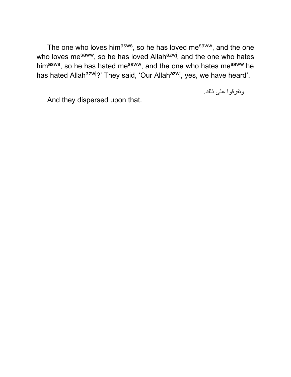The one who loves him<sup>asws</sup>, so he has loved me<sup>saww</sup>, and the one who loves me<sup>saww</sup>, so he has loved Allah<sup>azwj</sup>, and the one who hates him<sup>asws</sup>, so he has hated me<sup>saww</sup>, and the one who hates me<sup>saww</sup> he has hated Allah<sup>azwj</sup>?' They said, 'Our Allah<sup>azwj</sup>, yes, we have heard'.

وتفرقوا على ذلك.

And they dispersed upon that.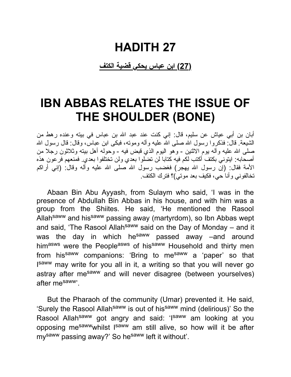### **HADITH 27**

**(27) ابن عباس یحكي قضیة الكتف**

## **IBN ABBAS RELATES THE ISSUE OF THE SHOULDER (BONE)**

أبان بن أبي عیاش عن سلیم، قال: إني كنت عند عبد االله بن عباس في بیته وعنده رهط من الشیعة. قال: فذكروا رسول الله صلى الله علیه وأله وموته، فبكى ابن عباس، وقال: قال رسول الله صلَّى الله عليه وأله بوم الاثنين - وهو اليوم الذي قبض فيه - وحوله أهل بيته وثلاثون رجلا من أصحابه: ایتوني بكتف أكتب لكم فیه كتابا لن تضلوا بعدي ولن تختلفوا بعدي. فمنعهم فرعون هذه الأمة فقال: (إن رسول االله یهجر) فغضب رسول االله صلى االله علیه وآله وقال: (إني أراكم تخالفوني وأنا حي، فكیف بعد موتي)؟ فترك الكتف.

Abaan Bin Abu Ayyash, from Sulaym who said, 'I was in the presence of Abdullah Bin Abbas in his house, and with him was a group from the Shiites. He said, 'He mentioned the Rasool Allah<sup>saww</sup> and his<sup>saww</sup> passing away (martyrdom), so Ibn Abbas wept and said, 'The Rasool Allah<sup>saww</sup> said on the Day of Monday – and it was the day in which he<sup>saww</sup> passed away –and around himasws were the Peopleasws of hissaww Household and thirty men from his<sup>saww</sup> companions: 'Bring to me<sup>saww</sup> a 'paper' so that Isaww may write for you all in it, a writing so that you will never go astray after me<sup>saww</sup> and will never disagree (between yourselves) after mesaww'.

But the Pharaoh of the community (Umar) prevented it. He said, 'Surely the Rasool Allah<sup>saww</sup> is out of his<sup>saww</sup> mind (delirious)' So the Rasool Allah<sup>saww</sup> got angry and said: 'Isaww am looking at you opposing me<sup>saww</sup>whilst I<sup>saww</sup> am still alive, so how will it be after mysaww passing away?' So hesaww left it without'.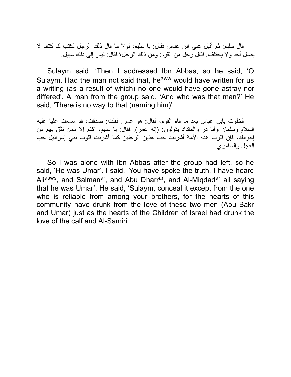قال سلیم: ثم أقبل علي ابن عباس فقال: یا سلیم، لولا ما قال ذلك الرجل لكتب لنا كتابا لا یضل أحد ولا یختلف. فقال رجل من القوم: ومن ذلك الرجل؟ فقال: لیس إلى ذلك سبیل.

Sulaym said, 'Then I addressed Ibn Abbas, so he said, 'O Sulaym, Had the man not said that, he<sup>aww</sup> would have written for us a writing (as a result of which) no one would have gone astray nor differed'. A man from the group said, 'And who was that man?' He said, 'There is no way to that (naming him)'.

فخلوت بابن عباس بعد ما قام القوم، فقال: هو عمر. فقلت: صدقت، قد سمعت علیا علیه السلام وسلمان وأبا ذر والمقداد یقولون: (إنه عمر). فقال: یا سلیم، اكتم إلا ممن تثق بهم من إخوانك، فإن قلوب هذه الأمة أشربت حب هذین الرجلین كما أشربت قلوب بني إسرائیل حب العجل والسامري.

So I was alone with Ibn Abbas after the group had left, so he said, 'He was Umar'. I said, 'You have spoke the truth, I have heard Ali<sup>asws</sup>, and Salman<sup>ar</sup>, and Abu Dharr<sup>ar</sup>, and Al-Miqdad<sup>ar</sup> all saying that he was Umar'. He said, 'Sulaym, conceal it except from the one who is reliable from among your brothers, for the hearts of this community have drunk from the love of these two men (Abu Bakr and Umar) just as the hearts of the Children of Israel had drunk the love of the calf and Al-Samiri'.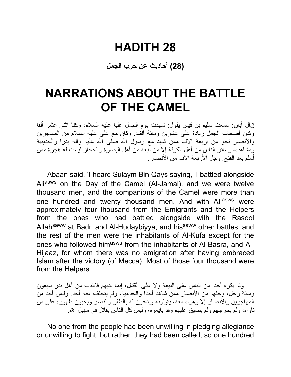### **HADITH 28**

#### **(28) أحادیث عن حرب الجمل**

## **NARRATIONS ABOUT THE BATTLE OF THE CAMEL**

قال أبان: سمعت سلیم بن قیس یقول: شهدت یوم الجمل علیا علیه السلام، وكنا اثني عشر ألفا وكان أصحاب الجمل زیادة على عشرین ومائة ألف. وكان مع علي علیه السلام من المهاجرین والأنصار نحو من أربعة ألاف ممن شهد مع رسول الله صلَّى الله علیه وآله بدرا والحدیبیة ومشاهده، وسائر الناس من أهل الكوفة إلا من تبعه من أهل البصرة والحجاز لیست له هجرة ممن أسلم بعد الفتح. وجل الأربعة آلاف من الأنصار.

Abaan said, 'I heard Sulaym Bin Qays saying, 'I battled alongside Aliasws on the Day of the Camel (Al-Jamal), and we were twelve thousand men, and the companions of the Camel were more than one hundred and twenty thousand men. And with Aliasws were approximately four thousand from the Emigrants and the Helpers from the ones who had battled alongside with the Rasool Allah<sup>saww</sup> at Badr, and Al-Hudaybiyya, and his<sup>saww</sup> other battles, and the rest of the men were the inhabitants of Al-Kufa except for the ones who followed him<sup>asws</sup> from the inhabitants of Al-Basra, and Al-Hijaaz, for whom there was no emigration after having embraced Islam after the victory (of Mecca). Most of those four thousand were from the Helpers.

ولم یكره أحدا من الناس على البیعة ولا على القتال، إنما ندبهم فانتدب من أهل بدر سبعون ومائة رجل، وجلهم من الأنصار ممن شاهد أحدا والحدیبیة، ولم یتخلف عنه أحد. ولیس أحد من المهاجرین والأنصار إلا وهواه معه، یتولونه ویدعون له بالظفر والنصر ویحبون ظهوره على من ناواه، ولم یحرجهم ولم یضیق علیهم وقد بایعوه، ولیس كل الناس یقاتل في سبیل االله.

No one from the people had been unwilling in pledging allegiance or unwilling to fight, but rather, they had been called, so one hundred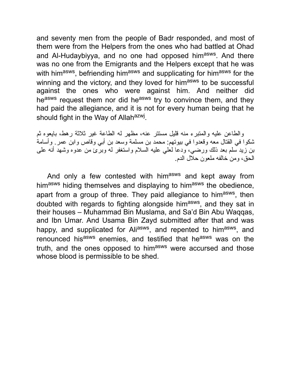and seventy men from the people of Badr responded, and most of them were from the Helpers from the ones who had battled at Ohad and Al-Hudaybiyya, and no one had opposed him<sup>asws</sup>. And there was no one from the Emigrants and the Helpers except that he was with him<sup>asws</sup>, befriending him<sup>asws</sup> and supplicating for him<sup>asws</sup> for the winning and the victory, and they loved for himasws to be successful against the ones who were against him. And neither did heasws request them nor did heasws try to convince them, and they had paid the allegiance, and it is not for every human being that he should fight in the Way of Allah<sup>azwj</sup>.

والطاعن علیه والمتبرء منه قلیل مستتر عنه، مظهر له الطاعة غیر ثلاثة رهط، بایعوه ثم شكوا في القتال معه وقعدوا في بیوتهم: محمد بن مسلمة وسعد بن أبي وقاص وابن عمر. وأسامة بن زید سلم بعد ذلك ورضي، ودعا لعلي علیه السلام واستغفر له وبرئ من عدوه وشهد أنه على الحق، ومن خالفه ملعون حلال الدم.

And only a few contested with himasws and kept away from himasws hiding themselves and displaying to himasws the obedience, apart from a group of three. They paid allegiance to him<sup>asws</sup>, then doubted with regards to fighting alongside him<sup>asws</sup>, and they sat in their houses – Muhammad Bin Muslama, and Sa'd Bin Abu Waqqas, and Ibn Umar. And Usama Bin Zayd submitted after that and was happy, and supplicated for Ali<sup>asws</sup>, and repented to him<sup>asws</sup>, and renounced his<sup>asws</sup> enemies, and testified that he<sup>asws</sup> was on the truth, and the ones opposed to himasws were accursed and those whose blood is permissible to be shed.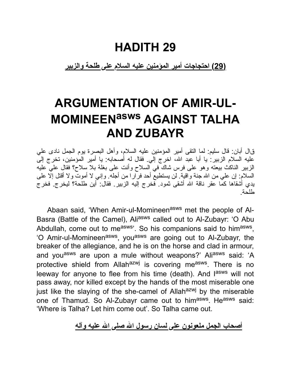### **HADITH 29**

**(29) احتجاجات أمیر المؤمنین علیه السلام على طلحة والزبیر**

# **ARGUMENTATION OF AMIR-UL-MOMINEENasws AGAINST TALHA AND ZUBAYR**

قال أبان: قال سلیم: لما التقى أمیر المؤمنین علیه السلام، وأهل البصرة یوم الجمل نادى علي علیه السلام الزبیر: یا أبا عبد االله، اخرج إلي. فقال له أصحابه: یا أمیر المؤمنین، تخرج إلى الزبیر الناكث بیعته وهو على فرس شاك في السلاح وأنت على بغلة بلا سلاح؟ فقال علي علیه السلام: إن علي من االله جنة واقیة. لن یستطیع أحد فرارا من أجله. وإني لا أموت ولا أقتل إلا على یدي أشقاها كما عقر ناقة االله أشقى ثمود. فخرج إلیه الزبیر. فقال: أین طلحة؟ لیخرج. فخرج طلحة.

Abaan said, 'When Amir-ul-Momineen<sup>asws</sup> met the people of Al-Basra (Battle of the Camel), Aliasws called out to Al-Zubayr: 'O Abu Abdullah, come out to me<sup>asws</sup>'. So his companions said to him<sup>asws</sup>, 'O Amir-ul-Momineen<sup>asws</sup>, you<sup>asws</sup> are going out to Al-Zubayr, the breaker of the allegiance, and he is on the horse and clad in armour, and you<sup>asws</sup> are upon a mule without weapons?' Aliasws said: 'A protective shield from Allah<sup>azwj</sup> is covering me<sup>asws</sup>. There is no leeway for anyone to flee from his time (death). And l<sup>asws</sup> will not pass away, nor killed except by the hands of the most miserable one just like the slaying of the she-camel of Allah $a$ <sup>azwj</sup> by the miserable one of Thamud. So Al-Zubayr came out to him<sup>asws</sup>. He<sup>asws</sup> said: 'Where is Talha? Let him come out'. So Talha came out.

**أصحاب الجمل ملعونون على لسان رسول االله صلى االله علیه وآله**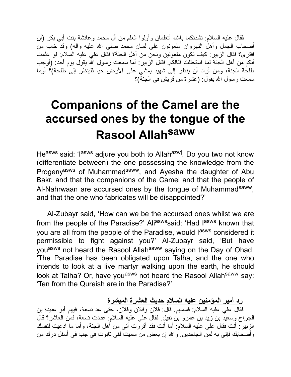فقال علیه السلام: نشدتكما بالله، أتعلمان وأولوا العلم من آل محمد وعائشة بنت أبي بكر (أن أصحاب الجمل وأهل النهروان ملعونون على لسان محمد صلى االله علیه وآله) وقد خاب من افترى؟ فقال الزبیر: كیف نكون ملعونین ونحن من أهل الجنة؟ فقال علي علیه السلام: لو علمت أنكم من أهل الجنة لما استحللت قتالكم. فقال الزبیر: أما سمعت رسول االله یقول یوم أحد: (أوجب طلحة الجنة، ومن أراد أن ینظر إلى شهید یمشي على الأرض حیا فلینظر إلى طلحة)؟ أوما سمعت رسول االله یقول: (عشرة من قریش في الجنة)؟

# **Companions of the Camel are the accursed ones by the tongue of the Rasool Allah saww**

He<sup>asws</sup> said: 'I<sup>asws</sup> adjure you both to Allah<sup>azwj</sup>. Do you two not know (differentiate between) the one possessing the knowledge from the Progeny<sup>asws</sup> of Muhammad<sup>saww</sup>, and Ayesha the daughter of Abu Bakr, and that the companions of the Camel and that the people of Al-Nahrwaan are accursed ones by the tongue of Muhammad<sup>saww</sup>, and that the one who fabricates will be disappointed?'

Al-Zubayr said, 'How can we be the accursed ones whilst we are from the people of the Paradise?' Ali<sup>asws</sup>said: 'Had l<sup>asws</sup> known that you are all from the people of the Paradise, would l<sup>asws</sup> considered it permissible to fight against you?' Al-Zubayr said, 'But have you<sup>asws</sup> not heard the Rasool Allah<sup>saww</sup> saying on the Day of Ohad: 'The Paradise has been obligated upon Talha, and the one who intends to look at a live martyr walking upon the earth, he should look at Talha? Or, have you<sup>asws</sup> not heard the Rasool Allah<sup>saww</sup> say: 'Ten from the Qureish are in the Paradise?'

**رد أمیر المؤمنین علیه السلام حدیث العشرة المبشرة**

فقال علي علیه السلام: فسمهم. قال: فلان وفلان وفلان، حتى عد تسعة، فیهم أبو عبیدة بن الجراح وسعید بن زید بن عمرو بن نفیل. فقال علي علیه السلام: عددت تسعة، فمن العاشر؟ قال الزبیر: أنت فقال علي علیه السلام: أما أنت فقد أقررت أني من أهل الجنة، وأما ما ادعیت لنفسك وأصحابك فإني به لمن الجاحدین. واالله إن بعض من سمیت لفي تابوت في جب في أسفل درك من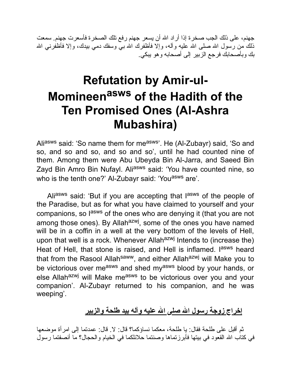جهنم، على ذلك الجب صخر ة إذا أراد الله أن يسعر جهنم رفع تلك الصخر ة فأسعرت جهنم. سمعت ذلك من رسول الله صلى الله علیه وأله، وإلا فأظفرك الله بـي وسفك دمـي بیدك، وإلا فأظفرنـي الله بك وبأصحابك فرجع الزبیر إلى أصحابه وهو یبكي.

# **Refutation by Amir-ul-Momineen asws of the Hadith of the Ten Promised Ones (Al-Ashra Mubashira)**

Aliasws said: 'So name them for measws'. He (Al-Zubayr) said, 'So and so, and so and so, and so and so', until he had counted nine of them. Among them were Abu Ubeyda Bin Al-Jarra, and Saeed Bin Zayd Bin Amro Bin Nufayl. Ali<sup>asws</sup> said: 'You have counted nine, so who is the tenth one?' Al-Zubayr said: 'You<sup>asws</sup> are'.

Ali<sup>asws</sup> said: 'But if you are accepting that l<sup>asws</sup> of the people of the Paradise, but as for what you have claimed to yourself and your companions, so lasws of the ones who are denying it (that you are not among those ones). By Allah<sup>azwj</sup>, some of the ones you have named will be in a coffin in a well at the very bottom of the levels of Hell, upon that well is a rock. Whenever Allah $a^{2}$ <sup>wj</sup> Intends to (increase the) Heat of Hell, that stone is raised, and Hell is inflamed. I<sup>asws</sup> heard that from the Rasool Allah<sup>saww</sup>, and either Allah<sup>azwj</sup> will Make you to be victorious over measws and shed myasws blood by your hands, or else Allah<sup>azwj</sup> will Make me<sup>asws</sup> to be victorious over you and your companion'. Al-Zubayr returned to his companion, and he was weeping'.

#### **إخراج زوجة رسول االله صلى االله علیه وآله بید طلحة والزبیر**

ثم أقبل على طلحة فقال: یا طلحة، معكما نساؤكما؟ قال: لا. قال: عمدتما إلى امرأة موضعها في كتاب االله القعود في بیتها فأبرزتماها وصنتما حلائلكما في الخیام والحجال؟ ما أنصفتما رسول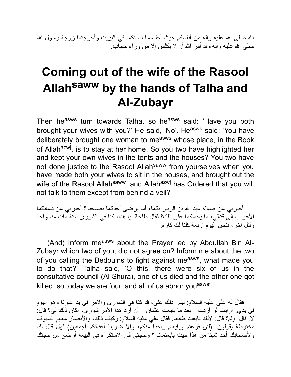الله صلى الله علیه وآله من أنفسكم حیث أجلستما نسائكما في البیوت وأخرجتما زوجة رسول الله صلى االله علیه وآله وقد أمر االله أن لا یكلمن إلا من وراء حجاب.

# **Coming out of the wife of the Rasool Allah saww by the hands of Talha and Al-Zubayr**

Then he<sup>asws</sup> turn towards Talha, so he<sup>asws</sup> said: 'Have you both brought your wives with you?' He said, 'No'. He<sup>asws</sup> said: 'You have deliberately brought one woman to measws whose place, in the Book of Allah<sup>azwj</sup>, is to stay at her home. So you two have highlighted her and kept your own wives in the tents and the houses? You two have not done justice to the Rasool Allah<sup>saww</sup> from yourselves when you have made both your wives to sit in the houses, and brought out the wife of the Rasool Allah<sup>saww</sup>, and Allah<sup>azwj</sup> has Ordered that you will not talk to them except from behind a veil?

أخبرني عن صلاة عبد االله بن الزبیر بكما، أما یرضى أحدكما بصاحبه؟ أخبرني عن دعائكما الأعراب إلى قتالي، ما یحملكما على ذلك؟ فقال طلحة: یا هذا، كنا في الشورى ستة مات منا واحد وقتل آخر، فنحن الیوم أربعة كلنا لك كاره.

(And) Inform measws about the Prayer led by Abdullah Bin Al-Zubayr which two of you, did not agree on? Inform me about the two of you calling the Bedouins to fight against me<sup>asws</sup>, what made you to do that?' Talha said, 'O this, there were six of us in the consultative council (Al-Shura), one of us died and the other one got killed, so today we are four, and all of us abhor you<sup>asws</sup>.

فقال له علي علیه السلام: لیس ذلك علي، قد كنا في الشورى والأمر في ید غیرنا وهو الیوم في یدي. أرأیت لو أردت - بعد ما بایعت عثمان - أن أرد هذا الأمر شورى، أكان ذلك لي؟ قال: لا. قال: ولم؟ قال: لأنك بایعت طائعا. فقال علي علیه السلام: وكیف ذلك، والأنصار معهم السیوف مخترطة یقولون: (لئن فرغتم وبایعتم واحدا منكم، وإلا ضربنا أعناقكم أجمعین) فهل قال لك ولأصحابك أحد شیئا من هذا حیث بایعتماني؟ وحجتي في الاستكراه في البیعة أوضح من حجتك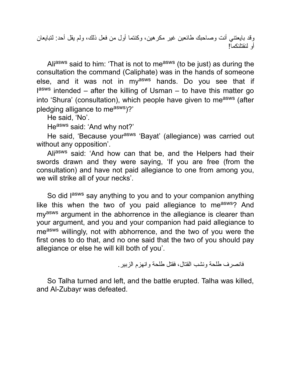وقد بایعتني أنت وصاحبك طائعین غیر مكرهین، وكنتما أول من فعل ذلك، ولم یقل أحد: لتبایعان أو لنقتلنكما!

Aliasws said to him: 'That is not to measws (to be just) as during the consultation the command (Caliphate) was in the hands of someone else, and it was not in my<sup>asws</sup> hands. Do you see that if lasws intended – after the killing of Usman – to have this matter go into 'Shura' (consultation), which people have given to measws (after pledging alligance to measws)?'

He said, 'No'.

Heasws said: 'And why not?'

He said, 'Because your<sup>asws</sup> 'Bayat' (allegiance) was carried out without any opposition'.

Aliasws said: 'And how can that be, and the Helpers had their swords drawn and they were saying, 'If you are free (from the consultation) and have not paid allegiance to one from among you, we will strike all of your necks'.

So did l<sup>asws</sup> say anything to you and to your companion anything like this when the two of you paid allegiance to measws? And my<sup>asws</sup> argument in the abhorrence in the allegiance is clearer than your argument, and you and your companion had paid allegiance to measws willingly, not with abhorrence, and the two of you were the first ones to do that, and no one said that the two of you should pay allegiance or else he will kill both of you'.

فانصرف طلحة ونشب القتال، فقتل طلحة وانهزم الزبیر.

So Talha turned and left, and the battle erupted. Talha was killed, and Al-Zubayr was defeated.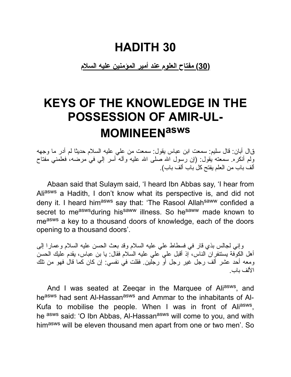### **HADITH 30**

**(30) مفتاح العلوم عند أمیر المؤمنین علیه السلام**

# **KEYS OF THE KNOWLEDGE IN THE POSSESSION OF AMIR-UL-MOMINEENasws**

قال أبان: قال سلیم: سمعت ابن عباس یقول: سمعت من علي علیه السلام حدیثا لم أدر ما وجهه ولم أنكره. سمعته یقول: (إن رسول االله صلى االله علیه وآله أسر إلي في مرضه، فعلمني مفتاح ألف باب من العلم یفتح كل باب ألف باب).

Abaan said that Sulaym said, 'I heard Ibn Abbas say, 'I hear from Aliasws a Hadith, I don't know what its perspective is, and did not deny it. I heard him<sup>asws</sup> say that: 'The Rasool Allah<sup>saww</sup> confided a secret to measwsduring hissaww illness. So hesaww made known to measws a key to a thousand doors of knowledge, each of the doors opening to a thousand doors'.

وإني لجالس بذي قار في فسطاط علي علیه السلام وقد بعث الحسن علیه السلام وعمارا إلى أهل الكوفة یستنفران الناس، إذ أقبل علي علي علیه السلام فقال: یا بن عباس، یقدم علیك الحسن ومعه أحد عشر ألف رجل غیر رجل أو رجلین. فقلت في نفسي: إن كان كما قال فهو من تلك الألف باب.

And I was seated at Zeeqar in the Marquee of Ali<sup>asws</sup>, and heasws had sent Al-Hassanasws and Ammar to the inhabitants of Al-Kufa to mobilise the people. When I was in front of Ali<sup>asws</sup>, he asws said: 'O Ibn Abbas, Al-Hassanasws will come to you, and with himasws will be eleven thousand men apart from one or two men'. So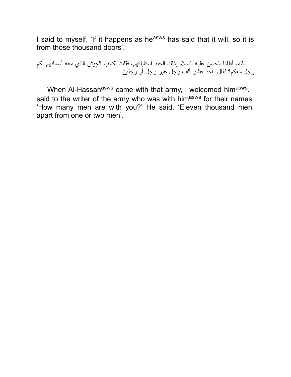I said to myself, 'If it happens as he<sup>asws</sup> has said that it will, so it is from those thousand doors'.

فلما أظلنا الحسن علیه السلام بذلك الجند استقبلتهم، فقلت لكاتب الجیش الذي معه أسمائهم: كم رجل معكم؟ فقال: أحد عشر ألف رجل غیر رجل أو رجلین.

When Al-Hassan<sup>asws</sup> came with that army, I welcomed him<sup>asws</sup>. I said to the writer of the army who was with himasws for their names, 'How many men are with you?' He said, 'Eleven thousand men, apart from one or two men'.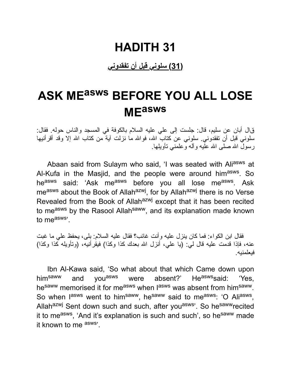#### **(31) سلوني قبل أن تفقدوني**

# **ASK ME asws BEFORE YOU ALL LOSE ME asws**

قال أبان عن سلیم، قال: جلست إلى علي علیه السلام بالكوفة في المسجد والناس حوله. فقال: سلوني قبل أن تفقدوني. سلوني عن كتاب االله، فواالله ما نزلت آیة من كتاب االله إلا وقد أقرأنیها رسول االله صلى االله علیه وآله وعلمني تأویلها.

Abaan said from Sulaym who said, 'I was seated with Aliasws at Al-Kufa in the Masjid, and the people were around him<sup>asws</sup>. So he<sup>asws</sup> said: 'Ask me<sup>asws</sup> before you all lose me<sup>asws</sup>. Ask me<sup>asws</sup> about the Book of Allah<sup>azwj</sup>, for by Allah<sup>azwj</sup> there is no Verse Revealed from the Book of Allahazwj except that it has been recited to measws by the Rasool Allah<sup>saww</sup>, and its explanation made known to measws'.

فقال ابن الكواء: فما كان ینزل علیه وأنت غائب؟ فقال علیه السلام: بلى، یحفظ علي ما غبت عنه، فإذا قدمت علیه قال لي: (یا علي، أنزل االله بعدك كذا وكذا) فیقرأنیه، (وتأویله كذا وكذا) فیعلمنیه.

Ibn Al-Kawa said, 'So what about that which Came down upon him<sup>saww</sup> and you<sup>asws</sup> were absent?' He<sup>asws</sup>said: 'Yes, he<sup>saww</sup> memorised it for me<sup>asws</sup> when lasws was absent from him<sup>saww</sup>. So when lasws went to him<sup>saww</sup>, he<sup>saww</sup> said to me<sup>asws</sup>: 'O Ali<sup>asws</sup>, Allah<sup>azwj</sup> Sent down such and such, after you<sup>asws</sup>'. So he<sup>saww</sup>recited it to me<sup>asws</sup>, 'And it's explanation is such and such', so he<sup>saww</sup> made it known to me asws'.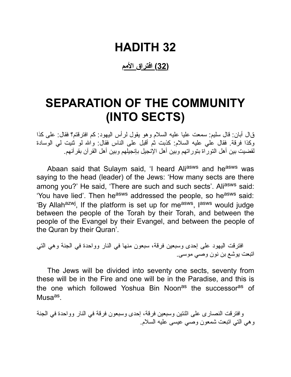**(32) افتراق الأمم**

## **SEPARATION OF THE COMMUNITY (INTO SECTS)**

قال أبان: قال سلیم: سمعت علیا علیه السلام وهو یقول لرأس الیهود: كم افترقتم؟ فقال: على كذا وكذا فرقة. فقال علي علیه السلام: كذبت ثم أقبل على الناس فقال: واالله لو ثنیت لي الوسادة لقضیت بین أهل التوراة بتوراتهم وبین أهل الإنجیل بإنجیلهم وبین أهل القرآن بقرآنهم.

Abaan said that Sulaym said, 'I heard Aliasws and he<sup>asws</sup> was saying to the head (leader) of the Jews: 'How many sects are there among you?' He said, 'There are such and such sects'. Aliasws said: 'You have lied'. Then he<sup>asws</sup> addressed the people, so he<sup>asws</sup> said: 'By Allah<sup>azwj</sup>, If the platform is set up for me<sup>asws</sup>, l<sup>asws</sup> would judge between the people of the Torah by their Torah, and between the people of the Evangel by their Evangel, and between the people of the Quran by their Quran'.

افترقت الیهود على إحدى وسبعین فرقة، سبعون منها في النار وواحدة في الجنة وهي التي اتبعت یوشع بن نون وصي موسى.

The Jews will be divided into seventy one sects, seventy from these will be in the Fire and one will be in the Paradise, and this is the one which followed Yoshua Bin Noon<sup>as</sup> the successor<sup>as</sup> of Musa<sup>as</sup>.

وافترقت النصارى على اثنتین وسبعین فرقة، إحدى وسبعون فرقة في النار وواحدة في الجنة وهي التي اتبعت شمعون وصي عیسى علیه السلام.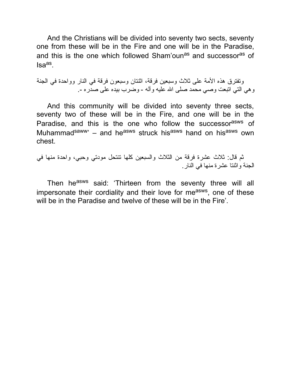And the Christians will be divided into seventy two sects, seventy one from these will be in the Fire and one will be in the Paradise, and this is the one which followed Sham'oun<sup>as</sup> and successor<sup>as</sup> of lsa<sup>as</sup>.

وتفترق هذه الأمة على ثلاث وسبعین فرقة، اثنتان وسبعون فرقة في النار وواحدة في الجنة وهي التي اتبعت وصي محمد صلى االله علیه وآله - وضرب بیده على صدره .-

And this community will be divided into seventy three sects, seventy two of these will be in the Fire, and one will be in the Paradise, and this is the one who follow the successor<sup>asws</sup> of Muhammad<sup>saww</sup>' – and he<sup>asws</sup> struck his<sup>asws</sup> hand on his<sup>asws</sup> own chest.

ثم قال: ثلاث عشرة فرقة من الثلاث والسبعین كلها تنتحل مودتي وحبي، واحدة منها في الجنة واثنتا عشرة منها في النار.

Then he<sup>asws</sup> said: 'Thirteen from the seventy three will all impersonate their cordiality and their love for me<sup>asws</sup>, one of these will be in the Paradise and twelve of these will be in the Fire'.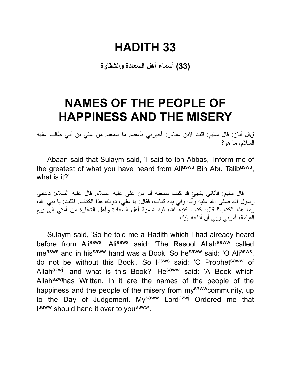**(33) أسماء أهل السعادة والشقاوة**

### **NAMES OF THE PEOPLE OF HAPPINESS AND THE MISERY**

قال أبان: قال سلیم: قلت لابن عباس: أخبرني بأعظم ما سمعتم من علي بن أبي طالب علیه السلام، ما هو؟

Abaan said that Sulaym said, 'I said to Ibn Abbas, 'Inform me of the greatest of what you have heard from Ali<sup>asws</sup> Bin Abu Talib<sup>asws</sup>, what is it?'

قال سلیم: فأتاني بشیئ قد كنت سمعته أنا من علي علیه السلام. قال علیه السلام: دعاني رسول الله صلى الله علیه وآله وفي یده كتاب، فقال: یا علی، دونك هذا الكتاب. فقلت: یا نبـی الله، وما هذا الكتاب؟ قال: كتاب كتبه االله، فیه تسمیة أهل السعادة وأهل الشقاوة من أمتي إلى یوم القیامة، أمرني ربي أن أدفعه إلیك.

Sulaym said, 'So he told me a Hadith which I had already heard before from Ali<sup>asws</sup>. Ali<sup>asws</sup> said: 'The Rasool Allah<sup>saww</sup> called me<sup>asws</sup> and in his<sup>saww</sup> hand was a Book. So he<sup>saww</sup> said: 'O Ali<sup>asws</sup>, do not be without this Book'. So l<sup>asws</sup> said: 'O Prophet<sup>saww</sup> of Allah<sup>azwj</sup>, and what is this Book?' He<sup>saww</sup> said: 'A Book which Allahazwjhas Written. In it are the names of the people of the happiness and the people of the misery from my<sup>saww</sup>community, up to the Day of Judgement. Mysaww Lordazwj Ordered me that Isaww should hand it over to you<sup>asws</sup>'.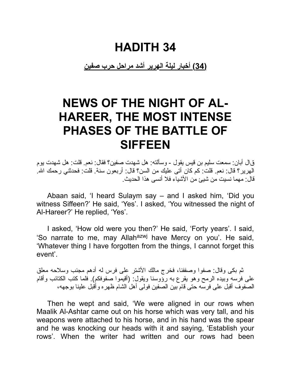**(34) أخبار لیلة الهریر أشد مراحل حرب صفین**

# **NEWS OF THE NIGHT OF AL-HAREER, THE MOST INTENSE PHASES OF THE BATTLE OF SIFFEEN**

قال أبان: سمعت سلیم بن قیس یقول - وسألته: هل شهدت صفین؟ فقال: نعم. قلت: هل شهدت یوم الهریر؟ قال: نعم. قلت: كم كان أتى علیك من السن؟ قال: أربعون سنة. قلت: فحدثني رحمك االله. قال: مهما نسیت من شیئ من الأشیاء فلا أنسى هذا الحدیث.

Abaan said, 'I heard Sulaym say – and I asked him, 'Did you witness Siffeen?' He said, 'Yes'. I asked, 'You witnessed the night of Al-Hareer?' He replied, 'Yes'.

I asked, 'How old were you then?' He said, 'Forty years'. I said, 'So narrate to me, may Allah<sup>azwj</sup> have Mercy on you'. He said, 'Whatever thing I have forgotten from the things, I cannot forget this event'.

ثم بكى وقال: صفوا وصففنا، فخرج مالك الأشتر على فرس له أدهم مجنب وسلاحه معلق على فرسه وبیده الرمح وهو یقرع به رؤوسنا ویقول: (أقیموا صفوفكم). فلما كتب الكتائب وأقام الصفوف أقبل على فرسه حتى قام بین الصفین فولى أهل الشام ظهره وأقبل علینا بوجهه،

Then he wept and said, 'We were aligned in our rows when Maalik Al-Ashtar came out on his horse which was very tall, and his weapons were attached to his horse, and in his hand was the spear and he was knocking our heads with it and saying, 'Establish your rows'. When the writer had written and our rows had been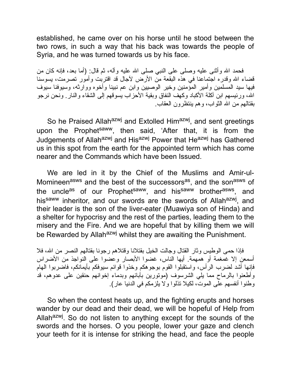established, he came over on his horse until he stood between the two rows, in such a way that his back was towards the people of Syria, and he was turned towards us by his face.

فحمد الله وأثنى علیه وصلى على النبي صلى الله علیه وآله، ثم قال: (أما بعد، فإنه كان من قضاء االله وقدره اجتماعنا في هذه البقعة من الأرض لآجال قد اقتربت وأمور تصرمت، یسوسنا فیها سید المسلمین وأمیر المؤمنین وخیر الوصیین وابن عم نبینا وأخوه ووارثه، وسیوفنا سیوف االله، ورئیسهم ابن آكلة الأكباد وكهف النفاق وبقیة الأحزاب یسوقهم إلى الشقاء والنار. ونحن نرجو بقتالهم من االله الثواب، وهم ینتظرون العقاب.

So he Praised Allah<sup>azwj</sup> and Extolled Him<sup>azwj</sup>, and sent greetings upon the Prophet<sup>saww</sup>, then said, 'After that, it is from the Judgements of Allah<sup>azwj</sup> and His<sup>azwj</sup> Power that He<sup>azwj</sup> has Gathered us in this spot from the earth for the appointed term which has come nearer and the Commands which have been Issued.

We are led in it by the Chief of the Muslims and Amir-ul-Momineen<sup>asws</sup> and the best of the successors<sup>as</sup>, and the son<sup>asws</sup> of the uncle<sup>as</sup> of our Prophet<sup>saww</sup>, and his<sup>saww</sup> brother<sup>asws</sup>, and his<sup>saww</sup> inheritor, and our swords are the swords of Allah<sup>azwj</sup>, and their leader is the son of the liver-eater (Muawiya son of Hinda) and a shelter for hypocrisy and the rest of the parties, leading them to the misery and the Fire. And we are hopeful that by killing them we will be Rewarded by Allah<sup>azwj</sup> whilst they are awaiting the Punishment.

فإذا حمى الوطیس وثار القتال وجالت الخیل بقتلانا وقتلاهم رجونا بقتالهم النصر من االله، فلا أسمعن إلا غمغمة أو همهمة. أیها الناس، غضوا الأبصار وعضوا على النواجذ من الأضراس فإنها أشد لضرب الرأس، واستقبلوا القوم بوجوهكم وخذوا قوائم سیوفكم بأیمانكم، فاضربوا الهام وأطعنوا بالرماح مما یلي الشرسوف (موتورین بآبائهم وبدماء إخوانهم حنقین على عدوهم، قد وطنوا أنفسهم على الموت، لكیلا تذلوا ولا یلزمكم في الدنیا عار).

So when the contest heats up, and the fighting erupts and horses wander by our dead and their dead, we will be hopeful of Help from Allah<sup>azwj</sup>. So do not listen to anything except for the sounds of the swords and the horses. O you people, lower your gaze and clench your teeth for it is intense for striking the head, and face the people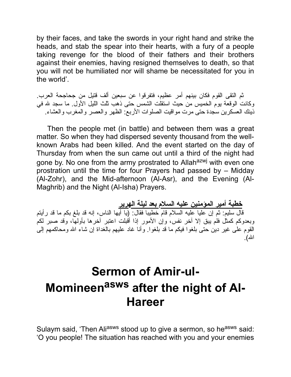by their faces, and take the swords in your right hand and strike the heads, and stab the spear into their hearts, with a fury of a people taking revenge for the blood of their fathers and their brothers against their enemies, having resigned themselves to death, so that you will not be humiliated nor will shame be necessitated for you in the world'.

ثم التقى القوم فكان بینهم أمر عظیم، فتفرقوا عن سبعین ألف قتیل من جحاجحة العرب. وكانت الوقعة یوم الخمیس من حیث استقلت الشمس حتى ذهب ثلث اللیل الأول. ما سجد الله في ذینك العسكرین سجدة حتى مرت مواقیت الصلوات الأربع: الظهر والعصر والمغرب والعشاء.

Then the people met (in battle) and between them was a great matter. So when they had dispersed seventy thousand from the wellknown Arabs had been killed. And the event started on the day of Thursday from when the sun came out until a third of the night had gone by. No one from the army prostrated to Allah<sup>azwj</sup> with even one prostration until the time for four Prayers had passed by – Midday (Al-Zohr), and the Mid-afternoon (Al-Asr), and the Evening (Al-Maghrib) and the Night (Al-Isha) Prayers.

**خطبة أمیر المؤمنین علیه السلام بعد لیلة الهریر** قال سلیم: ثم إن علیا علیه السلام قام خطیبا فقال: (یا أیها الناس، إنه قد بلغ بكم ما قد رأیتم وبعدوكم كمثل فلم یبق إلا آخر نفس، وإن الأمور إذا أقبلت اعتبر آخرها بأولها، وقد صبر لكم القوم على غیر دین حتى بلغوا فیكم ما قد بلغوا. وأنا غاد علیهم بالغداة إن شاء االله ومحاكمهم إلى االله).

# **Sermon of Amir-ul-Momineen asws after the night of Al-Hareer**

Sulaym said, 'Then Ali<sup>asws</sup> stood up to give a sermon, so he<sup>asws</sup> said: 'O you people! The situation has reached with you and your enemies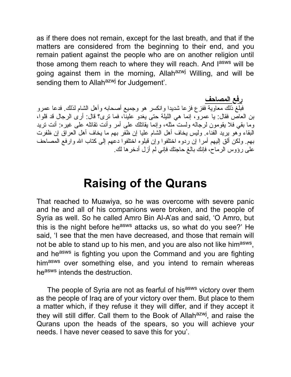as if there does not remain, except for the last breath, and that if the matters are considered from the beginning to their end, and you remain patient against the people who are on another religion until those among them reach to where they will reach. And l<sup>asws</sup> will be going against them in the morning, Allah<sup>azwj</sup> Willing, and will be sending them to Allah<sup>azwj</sup> for Judgement'.

**رفع المصاحف**

فبلغ ذلك معاویة ففزع فزعا شدیدا وانكسر هو وجمیع أصحابه وأهل الشام لذلك. فدعا عمرو بن العاص فقال: یا عمرو، إنما هي اللیلة حتى یغدو علینا، فما ترى؟ قال: أرى الرجال قد قلوا، وما بقي فلا یقومون لرجاله ولست مثله، وإنما یقاتلك على أمر وأنت تقاتله على غیره: أنت ترید البقاء وهو یرید الفناء. ولیس یخاف أهل الشام علیا إن ظفر بهم ما یخاف أهل العراق إن ظفرت بهم. ولكن ألق إلیهم أمرا إن ردوه اختلفوا وإن قبلوه اختلفوا دعهم إلى كتاب االله وارفع المصاحف على رؤوس الرماح، فإنك بالغ حاجتك فإني لم أزل أدخرها لك.

### **Raising of the Qurans**

That reached to Muawiya, so he was overcome with severe panic and he and all of his companions were broken, and the people of Syria as well. So he called Amro Bin Al-A'as and said, 'O Amro, but this is the night before he<sup>asws</sup> attacks us, so what do you see?' He said, 'I see that the men have decreased, and those that remain will not be able to stand up to his men, and you are also not like him<sup>asws</sup>, and he<sup>asws</sup> is fighting you upon the Command and you are fighting himasws over something else, and you intend to remain whereas heasws intends the destruction.

The people of Syria are not as fearful of his<sup>asws</sup> victory over them as the people of Iraq are of your victory over them. But place to them a matter which, if they refuse it they will differ, and if they accept it they will still differ. Call them to the Book of Allah<sup>azwj</sup>, and raise the Qurans upon the heads of the spears, so you will achieve your needs. I have never ceased to save this for you'.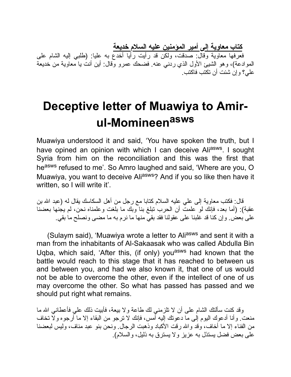**كتاب معاویة إلى أمیر المؤمنین علیه السلام خدیعة**

فعرفها معاویة وقال: صدقت، ولكن قد رأیت رأیا أخدع به علیا: (طلبي إلیه الشام على الموادعة)، وهو الشیئ الأول الذي ردني عنه. فضحك عمرو وقال: أین أنت یا معاویة من خدیعة علي؟ وإن شئت أن تكتب فاكتب.

# **Deceptive letter of Muawiya to Amirul-Momineen asws**

Muawiya understood it and said, 'You have spoken the truth, but I have opined an opinion with which I can deceive Ali<sup>asws</sup>. I sought Syria from him on the reconciliation and this was the first that heasws refused to me'. So Amro laughed and said, 'Where are you, O Muawiya, you want to deceive Aliasws? And if you so like then have it written, so I will write it'.

قال: فكتب معاویة إلى علي علیه السلام كتابا مع رجل من أهل السكاسك یقال له (عبد االله بن عقبة): (أما بعد، فإنك لو علمت أن الحرب تبلغ بنا وبك ما بلغت وعلمناه نحن، لم یجنها بعضنا على بعض. وإن كنا قد غلبنا على عقولنا فقد بقي منها ما نرم به ما مضى ونصلح ما بقي.

(Sulaym said), 'Muawiya wrote a letter to Aliasws and sent it with a man from the inhabitants of Al-Sakaasak who was called Abdulla Bin Uqba, which said, 'After this, (if only) you<sup>asws</sup> had known that the battle would reach to this stage that it has reached to between us and between you, and had we also known it, that one of us would not be able to overcome the other, even if the intellect of one of us may overcome the other. So what has passed has passed and we should put right what remains.

وقد كنت سألتك الشام على أن لا تلزمني لك طاعة ولا بیعة، فأبیت ذلك علي فأعطاني االله ما منعت. وأنا أدعوك الیوم إلى ما دعوتك إلیه أمس، فإنك لا ترجو من البقاء إلا ما أرجوه ولا تخاف من الفناء إلا ما أخاف، وقد والله رقت الأكباد وذهبت الرجال. ونحن بنو عبد مناف، وليس لبعضنا على بعض فضل یستذل به عزیز ولا یسترق به ذلیل، والسلام).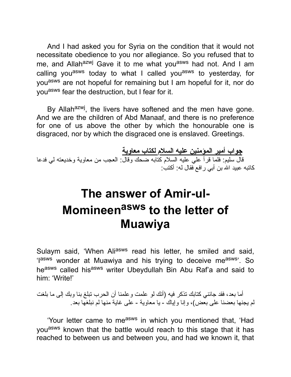And I had asked you for Syria on the condition that it would not necessitate obedience to you nor allegiance. So you refused that to me, and Allah<sup>azwj</sup> Gave it to me what you<sup>asws</sup> had not. And I am calling you<sup>asws</sup> today to what I called you<sup>asws</sup> to yesterday, for you<sup>asws</sup> are not hopeful for remaining but I am hopeful for it, nor do youasws fear the destruction, but I fear for it.

By Allah<sup>azwj</sup>, the livers have softened and the men have gone. And we are the children of Abd Manaaf, and there is no preference for one of us above the other by which the honourable one is disgraced, nor by which the disgraced one is enslaved. Greetings.

**جواب أمیر المؤمنین علیه السلام لكتاب معاویة** قال سلیم: فلما قرأ علي علیه السلام كتابه ضحك وقال: العجب من معاویة وخدیعته لي فدعا كاتبه عبید االله بن أبي رافع فقال له: أكتب:

# **The answer of Amir-ul-Momineen asws to the letter of Muawiya**

Sulaym said, 'When Ali<sup>asws</sup> read his letter, he smiled and said, 'lasws wonder at Muawiya and his trying to deceive measws'. So heasws called hisasws writer Ubeydullah Bin Abu Raf'a and said to him: 'Write!'

أما بعد، فقد جائني كتابك تذكر فیه (أنك لو علمت وعلمنا أن الحرب تبلغ بنا وبك إلى ما بلغت لم یجنها بعضنا على بعض)، وإنا وإیاك - یا معاویة - على غایة منها لم نبلغها بعد.

'Your letter came to me<sup>asws</sup> in which you mentioned that, 'Had you<sup>asws</sup> known that the battle would reach to this stage that it has reached to between us and between you, and had we known it, that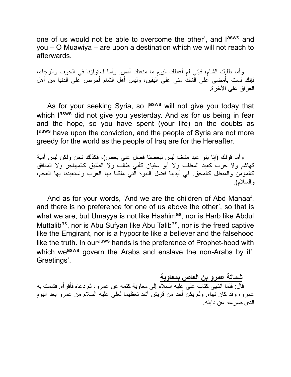one of us would not be able to overcome the other', and l<sup>asws</sup> and you – O Muawiya – are upon a destination which we will not reach to afterwards.

وأما طلبك الشام، فإني لم أعطك الیوم ما منعتك أمس. وأما استواؤنا في الخوف والرجاء، فإنك لست بأمضى على الشك مني على الیقین، ولیس أهل الشام أحرص على الدنیا من أهل العراق على الآخرة.

As for your seeking Syria, so l<sup>asws</sup> will not give you today that which l<sup>asws</sup> did not give you yesterday. And as for us being in fear and the hope, so you have spent (your life) on the doubts as lasws have upon the conviction, and the people of Syria are not more greedy for the world as the people of Iraq are for the Hereafter.

وأما قولك (إنا بنو عبد مناف لیس لبعضنا فضل على بعض)، فكذلك نحن ولكن لیس أمیة كهاشم ولا حرب كعبد المطلب ولا أبو سفیان كأبي طالب ولا الطلیق كالمهاجر ولا المنافق كالمؤمن والمبطل كالمحق. في أیدینا فضل النبوة التي ملكنا بها العرب واستعبدنا بها العجم، والسلام).

And as for your words, 'And we are the children of Abd Manaaf, and there is no preference for one of us above the other', so that is what we are, but Umayya is not like Hashim<sup>as</sup>, nor is Harb like Abdul Muttalib<sup>as</sup>, nor is Abu Sufyan like Abu Talib<sup>as</sup>, nor is the freed captive like the Emgirant, nor is a hypocrite like a believer and the falsehood like the truth. In our<sup>asws</sup> hands is the preference of Prophet-hood with which we<sup>asws</sup> govern the Arabs and enslave the non-Arabs by it'. Greetings'.

**شماتة عمرو بن العاص بمعاویة**

قال: فلما انتهى كتاب علي علیه السلام إلى معاویة كتمه عن عمرو، ثم دعاه فأقرأه. فشمت به عمرو، وقد كان نهاه. ولم یكن أحد من قریش أشد تعظیما لعلي علیه السلام من عمرو بعد الیوم الذي صرعه عن دابته.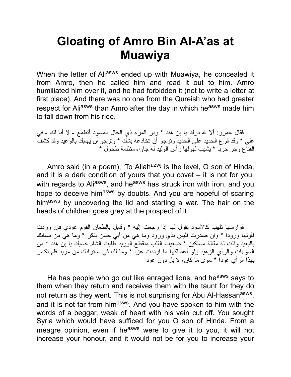# **Gloating of Amro Bin Al-A'as at Muawiya**

When the letter of Aliasws ended up with Muawiya, he concealed it from Amro, then he called him and read it out to him. Amro humiliated him over it, and he had forbidden it (not to write a letter at first place). And there was no one from the Qureish who had greater respect for Aliasws than Amro after the day in which he<sup>asws</sup> made him to fall down from his ride.

فقال عمرو: ألا الله درك یا بن هند \* ودر المرء ذي الحال المسود أتطمع - لا أبا لك - في علي \* وقد قرع الحدید على الحدید وترجو أن تخادعه بشك \* وترجو أن یهابك بالوعید وقد كشف القناع وجر حربا \* یشیب لهولها رأس الولید له جاواه مظلمة طحول \*

Amro said (in a poem), 'To Allah<sup>azwj</sup> is the level, O son of Hinda, and it is a dark condition of yours that you covet – it is not for you, with regards to Ali<sup>asws</sup>, and he<sup>asws</sup> has struck iron with iron, and you hope to deceive himasws by doubts. And you are hopeful of scaring himasws by uncovering the lid and starting a war. The hair on the heads of children goes grey at the prospect of it.

فوارسها تلهب كالأسود یقول لها إذا رجعت إلیه \* وقابل بالطعان القوم عودي فإن وردت فأولها ورودا \* وإن صدرت فلیس بذي ورود وما هي من أبي حسن بنكر \* وما هي من مسائك بالبعید وقلت له مقالة مستكین \* ضعیف القلب منقطع الورید طلبت الشام حسبك یا بن هند \* من السوءات والرأي الزهید ولو أعطاكها ما ازددت عزا \* وما لك في استزادك من مزید فلم تكسر بهذا الرأي عودا \* سوى ما كان، لا بل دون عود

He has people who go out like enraged lions, and he<sup>asws</sup> says to them when they return and receives them with the taunt for they do not return as they went. This is not surprising for Abu Al-Hassan<sup>asws</sup>, and it is not far from him<sup>asws</sup>. And you have spoken to him with the words of a beggar, weak of heart with his vein cut off. You sought Syria which would have sufficed for you O son of Hinda. From a meagre opinion, even if he<sup>asws</sup> were to give it to you, it will not increase your honour, and it would not be for you to increase your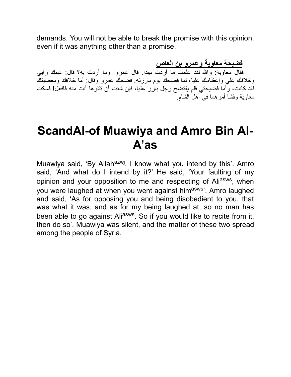demands. You will not be able to break the promise with this opinion, even if it was anything other than a promise.

**فضیحة معاویة وعمرو بن العاص**

فقال معاویة: واالله لقد علمت ما أردت بهذا. قال عمرو: وما أردت به؟ قال: عیبك رأیي وخلافك علي وإعظامك علیا، لما فضحك یوم بارزته. فضحك عمرو وقال: أما خلافك ومعصیتك فقد كانت، وأما فضیحتي فلم یفتضح رجل بارز علیا، فإن شئت أن تتلوها أنت منه فافعل! فسكت معاویة وفشا أمرهما في أهل الشام.

### **ScandAl-of Muawiya and Amro Bin Al-A'as**

Muawiya said, 'By Allah<sup>azwj</sup>, I know what you intend by this'. Amro said, 'And what do I intend by it?' He said, 'Your faulting of my opinion and your opposition to me and respecting of Ali<sup>asws</sup>, when you were laughed at when you went against himasws'. Amro laughed and said, 'As for opposing you and being disobedient to you, that was what it was, and as for my being laughed at, so no man has been able to go against Ali<sup>asws</sup>. So if you would like to recite from it, then do so'. Muawiya was silent, and the matter of these two spread among the people of Syria.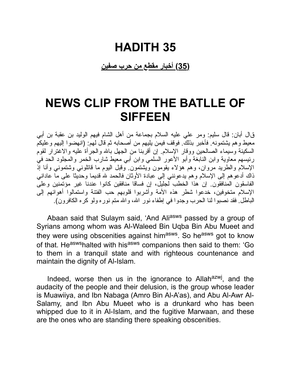#### **(35) أخبار مقطع من حرب صفین**

### **NEWS CLIP FROM THE BATLLE OF SIFFEEN**

قال أبان: قال سلیم: ومر علي علیه السلام بجماعة من أهل الشام فیهم الولید بن عقبة بن أبي معیط وهم یشتمونه. فأخبر بذلك. فوقف فیمن یلیهم من أصحابه ثم قال لهم: (انهضوا إلیهم وعلیكم السكینة وسیماء الصالحین ووقار الإسلام. إن أقربنا من الجهل باالله والجرأة علیه والاغترار لقوم رئیسهم معاویة وابن النابغة وأبو الأعور السلمي وابن أبي معیط شارب الخمر والمجلود الحد في الإسلام والطرید مروان، وهم هؤلاء یقومون ویشتمون. وقبل الیوم ما قاتلوني وشتموني وأنا إذ ذاك أدعوهم إلى الإسلام وهم یدعونني إلى عبادة الأوثان فالحمد الله قدیما وحدیثا على ما عاداني الفاسقون المنافقون. إن هذا الخطب لجلیل، إن فساقا منافقین كانوا عندنا غیر مؤتمنین وعلى الإسلام متخوفین، خدعوا شطر هذه الأمة وأشربوا قلوبهم حب الفتنة واستمالوا أهوائهم إلى الباطل. فقد نصبوا لنا الحرب وجدوا في إطفاء نور االله، واالله متم نوره ولو كره الكافرون).

Abaan said that Sulaym said, 'And Aliasws passed by a group of Syrians among whom was Al-Waleed Bin Uqba Bin Abu Mueet and they were using obscenities against him<sup>asws</sup>. So he<sup>asws</sup> got to know of that. He<sup>asws</sup>halted with his<sup>asws</sup> companions then said to them: 'Go to them in a tranquil state and with righteous countenance and maintain the dignity of Al-Islam.

Indeed, worse then us in the ignorance to Allah<sup>azwj</sup>, and the audacity of the people and their delusion, is the group whose leader is Muawiiya, and Ibn Nabaga (Amro Bin Al-A'as), and Abu Al-Awr Al-Salamy, and Ibn Abu Mueet who is a drunkard who has been whipped due to it in Al-Islam, and the fugitive Marwaan, and these are the ones who are standing there speaking obscenities.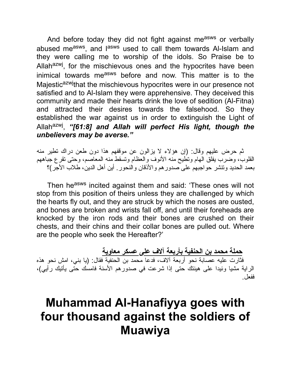And before today they did not fight against measws or verbally abused me<sup>asws</sup>, and l<sup>asws</sup> used to call them towards Al-Islam and they were calling me to worship of the idols. So Praise be to Allah<sup>azwj</sup>, for the mischievous ones and the hypocrites have been inimical towards measws before and now. This matter is to the Majestic<sup>azwj</sup>that the mischievous hypocrites were in our presence not satisfied and to Al-Islam they were apprehensive. They deceived this community and made their hearts drink the love of sedition (Al-Fitna) and attracted their desires towards the falsehood. So they established the war against us in order to extinguish the Light of Allah<sup>azwj</sup>, "[61:8] and Allah will perfect His light, though the *unbelievers may be averse."*

ثم حرض علیهم وقال: (إن هؤلاء لا یزالون عن موقفهم هذا دون طعن دراك تطیر منه القلوب، وضرب یفلق الهام وتطیح منه الأنوف والعظام وتسقط منه المعاصم، وحتى تقرع جباههم بعمد الحدید وتنشر حواجبهم على صدورهم والأذقان والنحور. أین أهل الدین، طلاب الأجر)؟

Then he<sup>asws</sup> incited against them and said: 'These ones will not stop from this position of theirs unless they are challenged by which the hearts fly out, and they are struck by which the noses are ousted, and bones are broken and wrists fall off, and until their foreheads are knocked by the iron rods and their bones are crushed on their chests, and their chins and their collar bones are pulled out. Where are the people who seek the Hereafter?'

**حملة محمد بن الحنفیة بأربعة آلاف على عسكر معاویة**

فثارت علیه عصابة نحو أربعة آلاف، فدعا محمد بن الحنفیة فقال: (یا بني، امش نحو هذه الرایة مشیا وئیدا على هینتك حتى إذا شرعت في صدورهم الأسنة فامسك حتى یأتیك رأیي)، ففعل.

## **Muhammad Al-Hanafiyya goes with four thousand against the soldiers of Muawiya**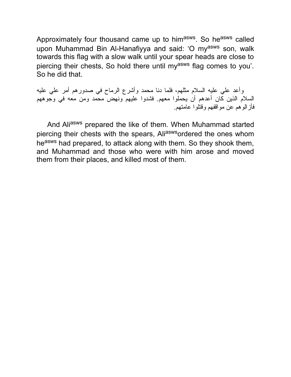Approximately four thousand came up to him<sup>asws</sup>. So he<sup>asws</sup> called upon Muhammad Bin Al-Hanafiyya and said: 'O my<sup>asws</sup> son, walk towards this flag with a slow walk until your spear heads are close to piercing their chests, So hold there until my<sup>asws</sup> flag comes to you'. So he did that.

وأعد علي علیه السلام مثلهم، فلما دنا محمد وأشرع الرماح في صدورهم أمر علي علیه السلام الذین كان أعدهم أن یحملوا معهم. فشدوا علیهم ونهض محمد ومن معه في وجوههم فأزالوهم عن مواقفهم وقتلوا عامتهم.

And Aliasws prepared the like of them. When Muhammad started piercing their chests with the spears, Aliaswsordered the ones whom heasws had prepared, to attack along with them. So they shook them, and Muhammad and those who were with him arose and moved them from their places, and killed most of them.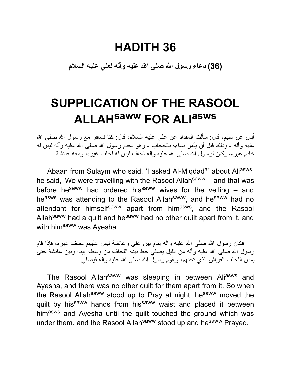**(36) دعاء رسول االله صلى االله علیه وآله لعلي علیه السلام**

# **SUPPLICATION OF THE RASOOL ALLAHsaww FOR ALI asws**

أبان عن سلیم، قال: سألت المقداد عن علي علیه السلام، قال: كنا نسافر مع رسول االله صلى االله علیه وآله - وذلك قبل أن یأمر نساءه بالحجاب - وهو یخدم رسول االله صلى االله علیه وآله لیس له خادم غیره، وكان لرسول الله صلى الله علیه وآله لحاف لیس له لحاف غیره، ومعه عائشة.

Abaan from Sulaym who said, 'I asked Al-Miqdad<sup>ar</sup> about Ali<sup>asws</sup>, he said, 'We were travelling with the Rasool Allah<sup>saww</sup> – and that was before he<sup>saww</sup> had ordered his<sup>saww</sup> wives for the veiling  $-$  and heasws was attending to the Rasool Allahsaww, and hesaww had no attendant for himself<sup>saww</sup> apart from him<sup>asws</sup>, and the Rasool Allah<sup>saww</sup> had a quilt and he<sup>saww</sup> had no other quilt apart from it, and with him<sup>saww</sup> was Ayesha.

فكان رسول الله صلى الله علیه وأله بنام بین علي وعائشة لیس علیهم لحاف غیره، فإذا قام رسول الله صلى الله علیه وآله من اللیل یصلّی حط بیده اللحاف من وسطه بینه وبین عائشة حتى یمس اللحاف الفراش الذي تحتهم، ویقوم رسول االله صلى االله علیه وآله فیصلي.

The Rasool Allah<sup>saww</sup> was sleeping in between Aliasws and Ayesha, and there was no other quilt for them apart from it. So when the Rasool Allah<sup>saww</sup> stood up to Pray at night, he<sup>saww</sup> moved the quilt by his<sup>saww</sup> hands from his<sup>saww</sup> waist and placed it between himasws and Ayesha until the quilt touched the ground which was under them, and the Rasool Allah<sup>saww</sup> stood up and he<sup>saww</sup> Prayed.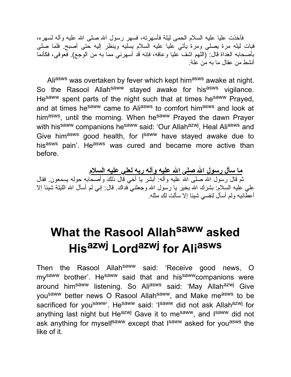فأخذت علیا علیه السلام الحمى لیلة فأسهرته، فسهر رسول االله صلى االله علیه وآله لسهره، فبات لیله مرة یصلي ومرة یأتي علیا علیه السلام یسلیه وینظر إلیه حتى أصبح. فلما صلى .<br>بأصحابه الغداة قال: (اللّـهم اشف عليا وعافه، فإنه قد أسهرني مما به من الوجع). فعوفي، فكأنما أنشط من عقال ما به من علة.

Aliasws was overtaken by fever which kept himasws awake at night. So the Rasool Allah<sup>saww</sup> stayed awake for his<sup>asws</sup> vigilance. He<sup>saww</sup> spent parts of the night such that at times he<sup>saww</sup> Prayed, and at times he<sup>saww</sup> came to Ali<sup>asws</sup> to comfort him<sup>asws</sup> and look at him<sup>asws</sup>, until the morning. When he<sup>saww</sup> Prayed the dawn Prayer with his<sup>saww</sup> companions he<sup>saww</sup> said: 'Our Allah<sup>azwj</sup>, Heal Ali<sup>asws</sup> and Give him<sup>asws</sup> good health, for l<sup>saww</sup> have stayed awake due to hisasws pain'. Heasws was cured and became more active than before.

**ما سأل رسول االله صلى االله علیه وآله ربه لعلي علیه السلام** ثم قال رسول االله صلى االله علیه وآله: أبشر یا أخي قال ذلك وأصحابه حوله یسمعون. فقال علي علیه السلام: بشرك الله بخیر یا رسول الله وجعلني فداك. قال: إني لم أسأل الله اللیلة شیئا إلا أعطانیه ولم أسأل لنفسي شیئا إلا سألت لك مثله.

# **What the Rasool Allah saww asked His azwj Lord azwj for Ali asws**

Then the Rasool Allah<sup>saww</sup> said: 'Receive good news, O my<sup>saww</sup> brother'. He<sup>saww</sup> said that and his<sup>saww</sup> companions were around him<sup>saww</sup> listening. So Ali<sup>asws</sup> said: 'May Allah<sup>azwj</sup> Give yousaww better news O Rasool Allahsaww, and Make measws to be sacrificed for you<sup>saww</sup>'. He<sup>saww</sup> said: 'Isaww did not ask Allah<sup>azwj</sup> for anything last night but He<sup>azwj</sup> Gave it to me<sup>saww</sup>, and l<sup>saww</sup> did not ask anything for myself<sup>saww</sup> except that I<sup>saww</sup> asked for you<sup>asws</sup> the like of it.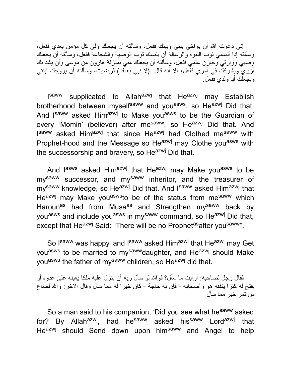إني دعوت االله أن یواخي بیني وبینك ففعل، وسألته أن یجعلك ولي كل مؤمن بعدي ففعل، وسألته إذا ألبسني ثوب النبوة والرسالة أن یلبسك ثوب الوصیة والشجاعة ففعل، وسألته أن یجعلك وصیي ووارثي وخازن علمي ففعل، وسألته أن یجعلك مني بمنزلة هارون من موسى وأن یشد بك أزري ویشركك في أمري ففعل، إلا أنه قال: (لا نبي بعدك) فرضیت، وسألته أن یزوجك ابنتي ویجعلك أبا ولدي ففعل.

Isaww supplicated to Allah<sup>azwj</sup> that He<sup>azwj</sup> may Establish brotherhood between myself<sup>saww</sup> and you<sup>asws</sup>, so He<sup>azwj</sup> Did that. And I<sup>saww</sup> asked Him<sup>azwj</sup> to Make you<sup>asws</sup> to be the Guardian of every 'Momin' (believer) after me<sup>saww</sup>, so He<sup>azwj</sup> Did that. And I<sup>saww</sup> asked Him<sup>azwj</sup> that since He<sup>azwj</sup> had Clothed me<sup>saww</sup> with Prophet-hood and the Message so Heazwj may Clothe you<sup>asws</sup> with the successorship and bravery, so He<sup>azwj</sup> Did that.

And l<sup>asws</sup> asked Him<sup>azwj</sup> that He<sup>azwj</sup> may Make you<sup>asws</sup> to be my<sup>saww</sup> successor, and my<sup>saww</sup> inheritor, and the treasurer of my<sup>saww</sup> knowledge, so He<sup>azwj</sup> Did that. And I<sup>saww</sup> asked Him<sup>azwj</sup> that Heazwj may Make you<sup>asws</sup>to be of the status from me<sup>saww</sup> which Haroun<sup>as</sup> had from Musa<sup>as</sup> and Strengthen my<sup>saww</sup> back by you<sup>asws</sup> and include you<sup>asws</sup> in my<sup>saww</sup> command, so He<sup>azwj</sup> Did that, except that He<sup>azwj</sup> Said: "There will be no Prophet<sup>as</sup> after you<sup>saww</sup>".

So I<sup>saww</sup> was happy, and I<sup>saww</sup> asked Him<sup>azwj</sup> that He<sup>azwj</sup> may Get you<sup>asws</sup> to be married to my<sup>saww</sup>daughter, and He<sup>azwj</sup> should Make you<sup>asws</sup> the father of my<sup>saww</sup> children, so He<sup>azwj</sup> did that.

فقال رجل لصاحبه: أرأیت ما سأل؟ فواالله لو سأل ربه أن ینزل علیه ملكا یعینه على عدوه أو یفتح له كنزا ینفقه هو وأصحابه - فإن به حاجة - كان خیرا له مما سأل وقال الاخر: واالله لصاع من تمر خیر مما سأل

So a man said to his companion, 'Did you see what he<sup>saww</sup> asked for? By Allah<sup>azwj</sup>, had he<sup>saww</sup> asked his<sup>saww</sup> Lord<sup>azwj</sup> that He<sup>azwj</sup> should Send down upon him<sup>saww</sup> and Angel to help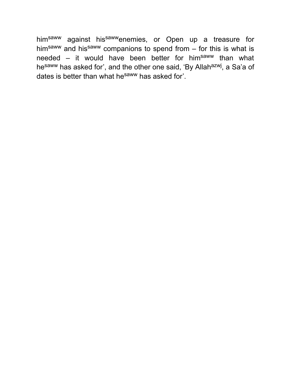himsaww against hissawwenemies, or Open up a treasure for him<sup>saww</sup> and his<sup>saww</sup> companions to spend from  $-$  for this is what is needed – it would have been better for him<sup>saww</sup> than what he<sup>saww</sup> has asked for', and the other one said, 'By Allah<sup>azwj</sup>, a Sa'a of dates is better than what he<sup>saww</sup> has asked for'.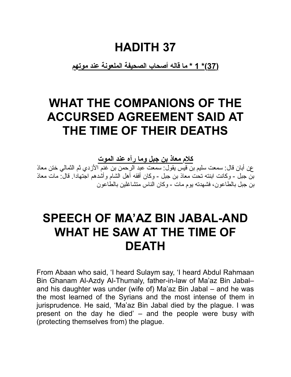**(37)\* 1 \* ما قاله أصحاب الصحیفة الملعونة عند موتهم**

# **WHAT THE COMPANIONS OF THE ACCURSED AGREEMENT SAID AT THE TIME OF THEIR DEATHS**

**كلام معاذ بن جبل وما رآه عند الموت**

عن أبان قال: سمعت سلیم بن قیس یقول: سمعت عبد الرحمن بن غنم الأزدي ثم الثمالي ختن معاذ بن جبل - وكانت ابنته تحت معاذ بن جبل - وكان أفقه أهل الشام وأشدهم اجتهادا. قال: مات معاذ بن جبل بالطاعون، فشهدته یوم مات - وكان الناس متشاغلین بالطاعون

# **SPEECH OF MA'AZ BIN JABAL-AND WHAT HE SAW AT THE TIME OF DEATH**

From Abaan who said, 'I heard Sulaym say, 'I heard Abdul Rahmaan Bin Ghanam Al-Azdy Al-Thumaly, father-in-law of Ma'az Bin Jabal– and his daughter was under (wife of) Ma'az Bin Jabal – and he was the most learned of the Syrians and the most intense of them in jurisprudence. He said, 'Ma'az Bin Jabal died by the plague. I was present on the day he died' – and the people were busy with (protecting themselves from) the plague.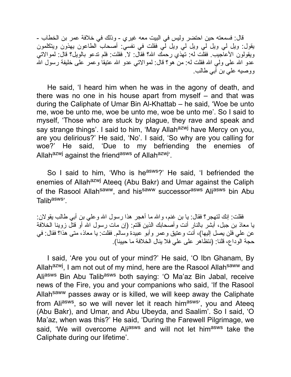قال: فسمعته حین احتضر ولیس في البیت معه غیري - وذلك في خلافة عمر بن الخطاب - یقول: ویل لي ویل لي ویل لي ویل لي فقلت في نفسي: أصحاب الطاعون یهذون ویتكلمون ویقولون الأعاجیب. فقلت له: تهذي رحمك االله؟ فقال: لا. فقلت: فلم تدعو بالویل؟ قال: لموالاتي عدو الله على ولي الله فقلت له: من هو؟ قال: لموالاتي عدو الله عتیقاً وعمر على خلیفة رسول الله ووصیه علي بن أبي طالب.

He said, 'I heard him when he was in the agony of death, and there was no one in his house apart from myself – and that was during the Caliphate of Umar Bin Al-Khattab – he said, 'Woe be unto me, woe be unto me, woe be unto me, woe be unto me'. So I said to myself, 'Those who are stuck by plague, they rave and speak and say strange things'. I said to him, 'May Allah<sup>azwj</sup> have Mercy on you, are you delirious?' He said, 'No'. I said, 'So why are you calling for woe?' He said, 'Due to my befriending the enemies of Allah<sup>azwj</sup> against the friend<sup>asws</sup> of Allah<sup>azwj</sup>'.

So I said to him, 'Who is he<sup>asws</sup>?' He said, 'I befriended the enemies of Allah<sup>azwj</sup> Ateeq (Abu Bakr) and Umar against the Caliph of the Rasool Allah<sup>saww</sup>, and his<sup>saww</sup> successor<sup>asws</sup> Ali<sup>asws</sup> bin Abu Talib<sup>asws</sup>'.

فقلت: إنك لتهجر؟ فقال: یا بن غنم، واالله ما أهجر هذا رسول االله وعلي بن أبي طالب یقولان: یا معاذ بن جبل، أبشر بالنار أنت وأصحابك الذین قلتم: (إن مات رسول االله أو قتل زوینا الخلافة عن علي فلن یصل إلیها)، أنت وعتیق وعمر وأبو عبیدة وسالم. فقلت: یا معاذ، متى هذا؟ فقال: في حجة الوداع، قلنا: (نتظاهر على علي فلا ینال الخلافة ما حیینا).

I said, 'Are you out of your mind?' He said, 'O Ibn Ghanam, By Allah<sup>azwj</sup>, I am not out of my mind, here are the Rasool Allah<sup>saww</sup> and Aliasws Bin Abu Talibasws both saying: 'O Ma'az Bin Jabal, receive news of the Fire, you and your companions who said, 'If the Rasool Allahsaww passes away or is killed, we will keep away the Caliphate from Ali<sup>asws</sup>, so we will never let it reach him<sup>asws</sup>', you and Ateeq (Abu Bakr), and Umar, and Abu Ubeyda, and Saalim'. So I said, 'O Ma'az, when was this?' He said, 'During the Farewell Pilgrimage, we said, 'We will overcome Aliasws and will not let himasws take the Caliphate during our lifetime'.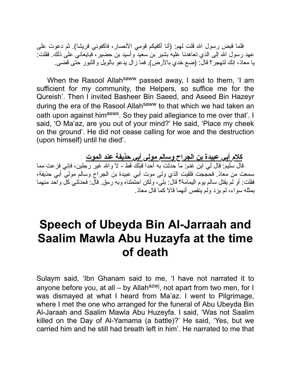فلما قبض رسول االله قلت لهم: (أنا أكفیكم قومي الأنصار، فاكفوني قریشا). ثم دعوت على عهد رسول الله إلى الذي تعاهدنا علیه بشیر بن سعید وأسید بن حضیر ، فبایعاني على ذلك. فقلت: یا معاذ، إنك لتهجر؟ قال: (ضع خدي بالأرض). فما زال یدعو بالویل والثبور حتى قضى.

When the Rasool Allah<sup>saww</sup> passed away, I said to them, 'I am sufficient for my community, the Helpers, so suffice me for the Qureish'. Then I invited Basheer Bin Saeed, and Aseed Bin Hazeyr during the era of the Rasool Allah<sup>saww</sup> to that which we had taken an oath upon against him<sup>asws</sup>. So they paid allegiance to me over that'. I said, 'O Ma'az, are you out of your mind?' He said, 'Place my cheek on the ground'. He did not cease calling for woe and the destruction (upon himself) until he died'.

**كلام أبي عبیدة بن الجراح وسالم مولى أبي حذیفة عند الموت** قال سلیم: قال لي ابن غنم: ما حدثت به أحدا قبلك قط - لا واالله غیر رجلین، فإني فزعت مما سمعت من معاذ. فحججت فلقیت الذي ولى موت أبي عبیدة بن الجراح وسالم مولى أبي حذیفة، فقلت: أو لم یقتل سالم یوم الیمامة؟ قال: بلى، ولكن احتملناه وبه رمق. قال: فحدثني كل واحد منهما بمثله سواء، لم یزد ولم ینقص أنهما قالا كما قال معاذ.

# **Speech of Ubeyda Bin Al-Jarraah and Saalim Mawla Abu Huzayfa at the time of death**

Sulaym said, 'Ibn Ghanam said to me, 'I have not narrated it to anyone before you, at all – by Allah<sup>azwj</sup>, not apart from two men, for I was dismayed at what I heard from Ma'az. I went to Pilgrimage, where I met the one who arranged for the funeral of Abu Ubeyda Bin Al-Jaraah and Saalim Mawla Abu Huzeyfa. I said, 'Was not Saalim killed on the Day of Al-Yamama (a battle)?' He said, 'Yes, but we carried him and he still had breath left in him'. He narrated to me that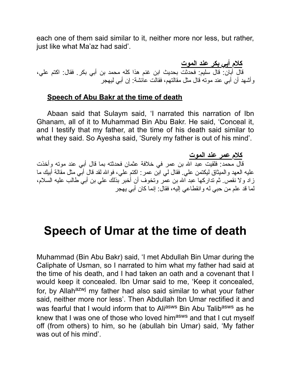each one of them said similar to it, neither more nor less, but rather, just like what Ma'az had said'.

**كلام أبي بكر عند الموت** قال أبان: قال سلیم: فحدثت بحدیث ابن غنم هذا كله محمد بن أبي بكر. فقال: اكتم علي، وأشهد أن أبي عند موته قال مثل مقالتهم، فقالت عائشة: إن أبي لیهجر

#### **Speech of Abu Bakr at the time of death**

Abaan said that Sulaym said, 'I narrated this narration of Ibn Ghanam, all of it to Muhammad Bin Abu Bakr. He said, 'Conceal it, and I testify that my father, at the time of his death said similar to what they said. So Ayesha said, 'Surely my father is out of his mind'.

**كلام عمر عند الموت** قال محمد: فلقیت عبد االله بن عمر في خلافة عثمان فحدثته بما قال أبي عند موته وأخذت علیه العهد والمیثاق لیكتمن علي. فقال لي ابن عمر: اكتم علي، فواالله لقد قال أبي مثل مقالة أبیك ما زاد ولا نقص. ثم تداركها عبد االله بن عمر وتخوف أن أخبر بذلك علي بن أبي طالب علیه السلام، لما قد علم من حبي له وانقطاعي إلیه، فقال: إنما كان أبي یهجر

### **Speech of Umar at the time of death**

Muhammad (Bin Abu Bakr) said, 'I met Abdullah Bin Umar during the Caliphate of Usman, so I narrated to him what my father had said at the time of his death, and I had taken an oath and a covenant that I would keep it concealed. Ibn Umar said to me, 'Keep it concealed, for, by Allah<sup>azwj</sup> my father had also said similar to what your father said, neither more nor less'. Then Abdullah Ibn Umar rectified it and was fearful that I would inform that to Aliasws Bin Abu Talibasws as he knew that I was one of those who loved him<sup>asws</sup> and that I cut myself off (from others) to him, so he (abullah bin Umar) said, 'My father was out of his mind'.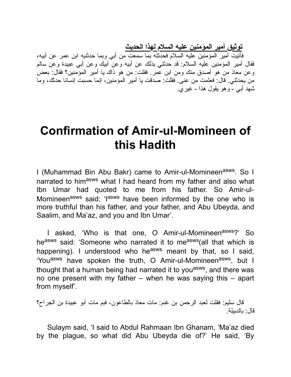**توثیق أمیر المؤمنین علیه السلام لهذا الحدیث**

فأتیت أمیر المؤمنین علیه السلام فحدثته بما سمعت من أبي وبما حدثنیه ابن عمر عن أبیه، فقال أمیر المؤمنین علیه السلام: قد حدثني بذلك عن أبیه وعن أبیك وعن أبي عبیدة وعن سالم وعن معاذ من هو أصدق منك ومن ابن عمر. فقلت: من هو ذاك یا أمیر المؤمنین؟ فقال: بعض من یحدثني. قال: فعلمت من عنى. فقلت: صدقت یا أمیر المؤمنین، إنما حسبت إنسانا حدثك، وما شهد أبي - وهو یقول هذا - غیري.

### **Confirmation of Amir-ul-Momineen of this Hadith**

I (Muhammad Bin Abu Bakr) came to Amir-ul-Momineen<sup>asws</sup>. So I narrated to himasws what I had heard from my father and also what Ibn Umar had quoted to me from his father. So Amir-ul-Momineen<sup>asws</sup> said: 'lasws have been informed by the one who is more truthful than his father, and your father, and Abu Ubeyda, and Saalim, and Ma'az, and you and Ibn Umar'.

I asked, 'Who is that one, O Amir-ul-Momineen<sup>asws</sup>?' So heasws said: 'Someone who narrated it to measws (all that which is happening). I understood who he<sup>asws</sup> meant by that, so I said, 'You<sup>asws</sup> have spoken the truth, O Amir-ul-Momineen<sup>asws</sup>, but I thought that a human being had narrated it to you<sup>asws</sup>, and there was no one present with my father – when he was saying this – apart from myself'.

قال سلیم: فقلت لعبد الرحمن بن غنم: مات معاذ بالطاعون، فبم مات أبو عبیدة بن الجراح؟ قال: بالدبیلة.

Sulaym said, 'I said to Abdul Rahmaan Ibn Ghanam, 'Ma'az died by the plague, so what did Abu Ubeyda die of?' He said, 'By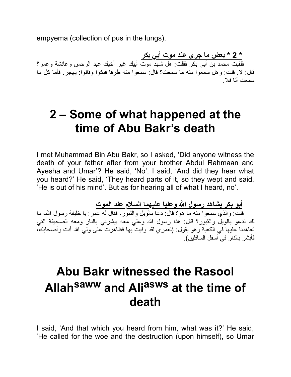empyema (collection of pus in the lungs).

**\* 2 \* بعض ما جرى عند موت أبي بكر** فلقیت محمد بن أبي بكر فقلت: هل شهد موت أبیك غیر أخیك عبد الرحمن وعائشة وعمر؟ قال: لا. قلت: وهل سمعوا منه ما سمعت؟ قال: سمعوا منه طرفا فبكوا وقالوا: یهجر. فأما كل ما سمعت أنا فلا.

# **2 – Some of what happened at the time of Abu Bakr's death**

I met Muhammad Bin Abu Bakr, so I asked, 'Did anyone witness the death of your father after from your brother Abdul Rahmaan and Ayesha and Umar'? He said, 'No'. I said, 'And did they hear what you heard?' He said, 'They heard parts of it, so they wept and said, 'He is out of his mind'. But as for hearing all of what I heard, no'.

**أبو بكر یشاهد رسول االله وعلیا علیهما السلام عند الموت**

قلت: والذي سمعوا منه ما هو؟ قال: دعا بالویل والثبور، فقال له عمر: یا خلیفة رسول االله، ما لك تدعو بالویل والثبور؟ قال: هذا رسول االله وعلي معه یبشرني بالنار ومعه الصحیفة التي تعاهدنا علیها في الكعبة وهو یقول: (لعمري لقد وفیت بها فظاهرت على ولي االله أنت وأصحابك، فأبشر بالنار في أسفل السافلین).

# **Abu Bakr witnessed the Rasool Allah saww and Ali asws at the time of death**

I said, 'And that which you heard from him, what was it?' He said, 'He called for the woe and the destruction (upon himself), so Umar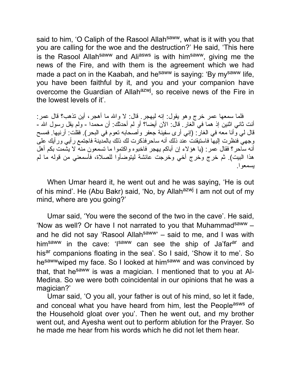said to him, 'O Caliph of the Rasool Allah<sup>saww</sup>, what is it with you that you are calling for the woe and the destruction?' He said, 'This here is the Rasool Allah<sup>saww</sup> and Ali<sup>asws</sup> is with him<sup>saww</sup>, giving me the news of the Fire, and with them is the agreement which we had made a pact on in the Kaabah, and he<sup>saww</sup> is saying: 'By my<sup>saww</sup> life, you have been faithful by it, and you and your companion have overcome the Guardian of Allah<sup>azwj</sup>, so receive news of the Fire in the lowest levels of it'.

فلما سمعها عمر خرج وهو یقول: إنه لیهجر. قال: لا واالله ما أهجر، أین تذهب؟ قال عمر: أنت ثاني اثنین إذ هما في الغار. قال: الآن أیضا؟ أو لم أحدثك: أن محمدا - ولم یقل رسول االله - قال لي وأنا معه في الغار: (إني أرى سفینة جعفر وأصحابه تعوم في البحر). فقلت: أرنیها. فمسح وجهي فنظرت إلیها فاستیقنت عند ذلك أنه ساحرفذكرت لك ذلك بالمدینة فاجتمع رأیي ورأیك على أنه ساحر؟ فقال عمر: (یا هؤلاء إن أباكم یهجر فاخبوه واكتموا ما تسمعون منه لا یشمت بكم أهل هذا البیت). ثم خرج وخرج أخي وخرجت عائشة لیتوضأوا للصلاة، فأسمعني من قوله ما لم یسمعوا.

When Umar heard it, he went out and he was saying, 'He is out of his mind'. He (Abu Bakr) said, 'No, by Allah<sup>azwj</sup> I am not out of my mind, where are you going?'

Umar said, 'You were the second of the two in the cave'. He said, 'Now as well? Or have I not narrated to you that Muhammad<sup>saww</sup>  $$ and he did not say 'Rasool Allah<sup>saww</sup>' – said to me, and I was with him<sup>saww</sup> in the cave: 'I<sup>saww</sup> can see the ship of Ja'far<sup>ar</sup> and hisar companions floating in the sea'. So I said, 'Show it to me'. So hesawwwiped my face. So I looked at himsaww and was convinced by that, that he<sup>saww</sup> is was a magician. I mentioned that to you at Al-Medina. So we were both coincidental in our opinions that he was a magician?'

Umar said, 'O you all, your father is out of his mind, so let it fade, and conceal what you have heard from him, lest the People<sup>asws</sup> of the Household gloat over you'. Then he went out, and my brother went out, and Ayesha went out to perform ablution for the Prayer. So he made me hear from his words which he did not let them hear.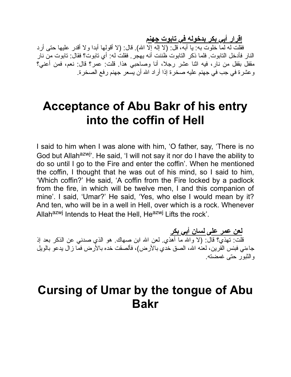**إقرار أبي بكر بدخوله في تابوت جهنم**

فقلت له لما خلوت به: یا أبه، قل: (لا إله إلا االله). قال: (لا أقولها أبدا ولا أقدر علیها حتى أرد النار فأدخل التابوت. فلما ذكر التابوت ظننت أنه یهجر. فقلت له: أي تابوت؟ فقال: تابوت من نار مقفل بقفل من نار، فیه اثنا عشر رجلا، أنا وصاحبي هذا. قلت: عمر؟ قال: نعم، فمن أعني؟ وعشرة في جب في جهنم علیه صخرة إذا أراد االله أن یسعر جهنم رفع الصخرة.

### **Acceptance of Abu Bakr of his entry into the coffin of Hell**

I said to him when I was alone with him, 'O father, say, 'There is no God but Allah<sup>azwj</sup>'. He said, 'I will not say it nor do I have the ability to do so until I go to the Fire and enter the coffin'. When he mentioned the coffin, I thought that he was out of his mind, so I said to him, 'Which coffin?' He said, 'A coffin from the Fire locked by a padlock from the fire, in which will be twelve men, I and this companion of mine'. I said, 'Umar?' He said, 'Yes, who else I would mean by it? And ten, who will be in a well in Hell, over which is a rock. Whenever Allahazwj Intends to Heat the Hell, Heazwj Lifts the rock'.

**لعن عمر على لسان أبي بكر** قلت: تهذي؟ قال: (لا واالله ما أهذي. لعن االله ابن صهاك. هو الذي صدني عن الذكر بعد إذ جاءنـي فبئس القرین، لعنّه الله، الصق خدّي بالأرض)، فألصقت خده بالأرض فمّا زال یدعو بالویل والثبور حتى غمضته.

### **Cursing of Umar by the tongue of Abu Bakr**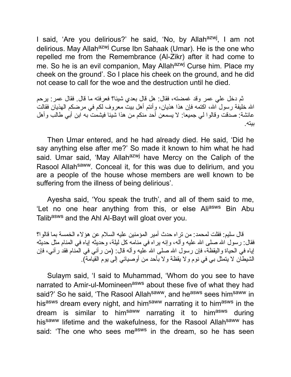I said, 'Are you delirious?' he said, 'No, by Allah<sup>azwj</sup>, I am not delirious. May Allah<sup>azwj</sup> Curse Ibn Sahaak (Umar). He is the one who repelled me from the Remembrance (Al-Zikr) after it had come to me. So he is an evil companion, May Allah<sup>azwj</sup> Curse him. Place my cheek on the ground'. So I place his cheek on the ground, and he did not cease to call for the woe and the destruction until he died.

ثم دخل علي عمر وقد غمضته، فقال: هل قال بعدي شیئا؟ فعرفته ما قال. فقال عمر: یرحم االله خلیفة رسول االله، اكتمه فإن هذا هذیان، وأنتم أهل بیت معروف لكم في مرضكم الهذیان فقالت عائشة: صدقت وقالوا لي جمیعا: لا یسمعن أحد منكم من هذا شیئا فیشمت به ابن أبي طالب وأهل بیته.

Then Umar entered, and he had already died. He said, 'Did he say anything else after me?' So made it known to him what he had said. Umar said, 'May Allah<sup>azwj</sup> have Mercy on the Caliph of the Rasool Allah<sup>saww</sup>. Conceal it, for this was due to delirium, and you are a people of the house whose members are well known to be suffering from the illness of being delirious'.

Ayesha said, 'You speak the truth', and all of them said to me, 'Let no one hear anything from this, or else Aliasws Bin Abu Talibasws and the Ahl Al-Bayt will gloat over you.

قال سلیم: فقلت لمحمد: من تراه حدث أمیر المؤمنین علیه السلام عن هؤلاء الخمسة بما قالوا؟ فقال: رسول الله صلى الله علیه وآله، وإنه یراه في منامه كل لیلة، وحدیثه إیاه في المنام مثل حدیثه إیاه في الحیاة والیقظة، فإن رسول االله صلى االله علیه وآله قال: (من رآني في المنام فقد رآني، فإن الشیطان لا یتمثل بي في نوم ولا یقظة ولا بأحد من أوصیائي إلى یوم القیامة).

Sulaym said, 'I said to Muhammad, 'Whom do you see to have narrated to Amir-ul-Momineen<sup>asws</sup> about these five of what they had said?' So he said, 'The Rasool Allah<sup>saww</sup>, and he<sup>asws</sup> sees him<sup>saww</sup> in hisasws dream every night, and himsaww narrating it to himasws in the dream is similar to himsaww narrating it to himasws during his<sup>saww</sup> lifetime and the wakefulness, for the Rasool Allah<sup>saww</sup> has said: 'The one who sees me<sup>asws</sup> in the dream, so he has seen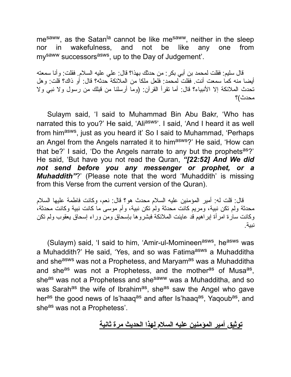mesaww, as the Satan<sup>la</sup> cannot be like mesaww, neither in the sleep nor in wakefulness, and not be like any one from my<sup>saww</sup> successors<sup>asws</sup>, up to the Day of Judgement'.

قال سلیم: فقلت لمحمد بن أبي بكر: من حدثك بهذا؟ قال: علي علیه السلام. فقلت: وأنا سمعته أیضا منه كما سمعت أنت. فقلت لمحمد: فلعل ملكا من الملائكة حدثه؟ قال: أو ذاك؟ قلت: وهل تحدث الملائكة إلا الأنبیاء؟ قال: أما تقرأ القرآن: (وما أرسلنا من قبلك من رسول ولا نبي ولا محدث)؟

Sulaym said, 'I said to Muhammad Bin Abu Bakr, 'Who has narrated this to you?' He said, 'Ali<sup>asws</sup>'. I said, 'And I heard it as well from him<sup>asws</sup>, just as you heard it' So I said to Muhammad, 'Perhaps an Angel from the Angels narrated it to himasws?' He said, 'How can that be?' I said, 'Do the Angels narrate to any but the prophets<sup>as</sup>?' He said, 'But have you not read the Quran, *"[22:52] And We did not send before you any messenger or prophet, or a Muhaddith"*?' (Please note that the word 'Muhaddith' is missing from this Verse from the current version of the Quran).

قال: قلت له: أمیر المؤمنین علیه السلام محدث هو؟ قال: نعم، وكانت فاطمة علیها السلام محدثة ولم تكن نبیة، ومریم كانت محدثة ولم تكن نبیة، وأم موسى ما كانت نبیة وكانت محدثة، وكانت سارة امرأة إبراهیم قد عاینت الملائكة فبشروها بإسحاق ومن وراء إسحاق یعقوب ولم تكن نبیة.

(Sulaym) said, 'I said to him, 'Amir-ul-Momineen<sup>asws</sup>, he<sup>asws</sup> was a Muhaddith?' He said, 'Yes, and so was Fatima<sup>asws</sup> a Muhadditha and she<sup>asws</sup> was not a Prophetess, and Maryam<sup>as</sup> was a Muhadditha and she<sup>as</sup> was not a Prophetess, and the mother<sup>as</sup> of Musa<sup>as</sup>, she<sup>as</sup> was not a Prophetess and she<sup>saww</sup> was a Muhadditha, and so was Sarah<sup>as</sup> the wife of Ibrahim<sup>as</sup>, she<sup>as</sup> saw the Angel who gave her<sup>as</sup> the good news of Is'haaq<sup>as</sup> and after Is'haaq<sup>as</sup>, Yaqoub<sup>as</sup>, and she<sup>as</sup> was not a Prophetess'.

#### **توثیق أمیر المؤمنین علیه السلام لهذا الحدیث مرة ثانیة**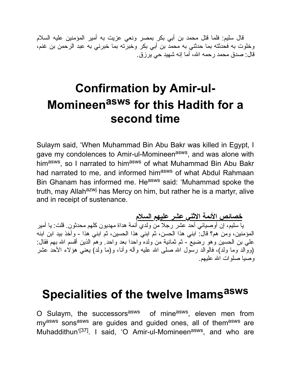قال سلیم: فلما قتل محمد بن أبي بكر بمصر ونعي عزیت به أمیر المؤمنین علیه السلام وخلوت به فحدثته بما حدثني به محمد بن أبي بكر وخبرته بما خبرني به عبد الرحمن بن غنم، قال: صدق محمد رحمه االله، أما إنه شهید حي یرزق.

# **Confirmation by Amir-ul-Momineen asws for this Hadith for a second time**

Sulaym said, 'When Muhammad Bin Abu Bakr was killed in Egypt, I gave my condolences to Amir-ul-Momineen<sup>asws</sup>, and was alone with him<sup>asws</sup>, so I narrated to him<sup>asws</sup> of what Muhammad Bin Abu Bakr had narrated to me, and informed himasws of what Abdul Rahmaan Bin Ghanam has informed me. He<sup>asws</sup> said: 'Muhammad spoke the truth, may Allah<sup>azwj</sup> has Mercy on him, but rather he is a martyr, alive and in receipt of sustenance.

**خصائص الأئمة الاثني عشر علیهم السلام** یا سلیم، إن أوصیائي أحد عشر رجلا من ولدي أئمة هداة مهدیون كلهم محدثون. قلت: یا أمیر المؤمنین، ومن هم؟ قال: ابني هذا الحسن، ثم ابني هذا الحسین، ثم ابني هذا - وأخذ بید ابن ابنه علي بن الحسین وهو رضیع - ثم ثمانیة من ولده واحدا بعد واحد. وهم الذین أقسم االله بهم فقال: (ووالد وما ولد)، فالوالد رسول االله صلى االله علیه وآله وأنا، و(ما ولد) یعني هؤلاء الأحد عشر وصیا صلوات االله علیهم.

# **Specialities of the twelve Imams asws**

O Sulaym, the successors<sup>asws</sup> of mine<sup>asws</sup>, eleven men from my<sup>asws</sup> sons<sup>asws</sup> are guides and guided ones, all of them<sup>asws</sup> are Muhaddithun'<sup>[37]</sup>. I said, 'O Amir-ul-Momineen<sup>asws</sup>, and who are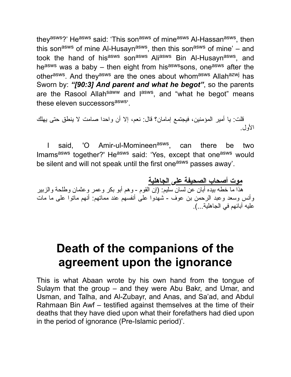they<sup>asws</sup>?' He<sup>asws</sup> said: 'This son<sup>asws</sup> of mine<sup>asws</sup> Al-Hassan<sup>asws</sup>, then this son<sup>asws</sup> of mine Al-Husayn<sup>asws</sup>, then this son<sup>asws</sup> of mine' – and took the hand of his<sup>asws</sup> son<sup>asws</sup> Ali<sup>asws</sup> Bin Al-Husayn<sup>asws</sup>, and he<sup>asws</sup> was a baby – then eight from his<sup>asws</sup>sons, one<sup>asws</sup> after the other<sup>asws</sup>. And they<sup>asws</sup> are the ones about whom<sup>asws</sup> Allah<sup>azwj</sup> has Sworn by: *"[90:3] And parent and what he begot"*, so the parents are the Rasool Allah<sup>saww</sup> and l<sup>asws</sup>, and "what he begot" means these eleven successors<sup>asws</sup>'.

قلت: یا أمیر المؤمنین، فیجتمع إمامان؟ قال: نعم، إلا أن واحدا صامت لا ینطق حتى یهلك الأول.

I said, 'O Amir-ul-Momineen<sup>asws</sup>, can there be two Imams<sup>asws</sup> together?' He<sup>asws</sup> said: 'Yes, except that one<sup>asws</sup> would be silent and will not speak until the first one<sup>asws</sup> passes away'.

**موت أصحاب الصحیفة على الجاهلیة** هذا ما خطه بیده أبان عن لسان سلیم: (إن القوم - وهم أبو بكر وعمر وعثمان وطلحة والزبیر وأنس وسعد وعبد الرحمن بن عوف - شهدوا على أنفسهم عند مماتهم: أنهم ماتوا على ما مات علیه آبائهم في الجاهلیة...).

## **Death of the companions of the agreement upon the ignorance**

This is what Abaan wrote by his own hand from the tongue of Sulaym that the group – and they were Abu Bakr, and Umar, and Usman, and Talha, and Al-Zubayr, and Anas, and Sa'ad, and Abdul Rahmaan Bin Awf – testified against themselves at the time of their deaths that they have died upon what their forefathers had died upon in the period of ignorance (Pre-Islamic period)'.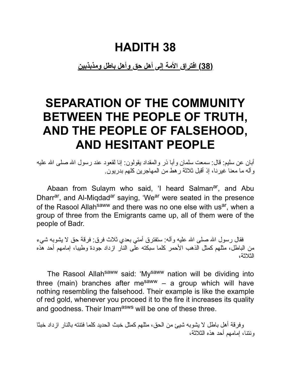**(38) افتراق الأمة إلى أهل حق وأهل باطل ومذبذبین**

# **SEPARATION OF THE COMMUNITY BETWEEN THE PEOPLE OF TRUTH, AND THE PEOPLE OF FALSEHOOD, AND HESITANT PEOPLE**

أبان عن سلیم: قال: سمعت سلمان وأبا ذر والمقداد یقولون: إنا لقعود عند رسول االله صلى االله علیه وآله ما معنا غیرنا، إذ أقبل ثلاثة رهط من المهاجرین كلهم بدریون.

Abaan from Sulaym who said, 'I heard Salman<sup>ar</sup>, and Abu Dharr<sup>ar</sup>, and Al-Miqdad<sup>ar</sup> saying, 'We<sup>ar</sup> were seated in the presence of the Rasool Allah<sup>saww</sup> and there was no one else with us<sup>ar</sup>, when a group of three from the Emigrants came up, all of them were of the people of Badr.

فقال رسول الله صلى الله علیه وأله: ستفترق أمتي بعدي ثلاث فرق: فرقة حق لا یشوبه شيء من الباطل، مثلهم كمثل الذهب الأحمر كلما سبكته على النار ازداد جودة وطیبا، إمامهم أحد هذه الثلاثة،

The Rasool Allah<sup>saww</sup> said: 'My<sup>saww</sup> nation will be dividing into three (main) branches after me<sup>saww</sup> – a group which will have nothing resembling the falsehood. Their example is like the example of red gold, whenever you proceed it to the fire it increases its quality and goodness. Their Imamasws will be one of these three.

وفرقة أهل باطل لا یشوبه شیئ من الحق، مثلهم كمثل خبث الحدید كلما فتنته بالنار ازداد خبثا ونتنا، إمامهم أحد هذه الثلاثة،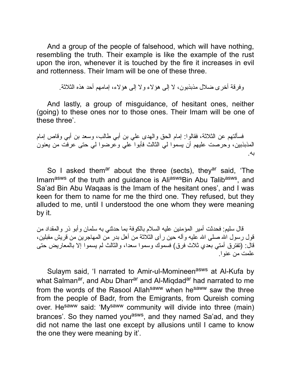And a group of the people of falsehood, which will have nothing, resembling the truth. Their example is like the example of the rust upon the iron, whenever it is touched by the fire it increases in evil and rottenness. Their Imam will be one of these three.

وفرقة أخرى ضلال مذبذبون، لا إلى هؤلاء ولا إلى هؤلاء، إمامهم أحد هذه الثلاثة.

And lastly, a group of misguidance, of hesitant ones, neither (going) to these ones nor to those ones. Their Imam will be one of these three'.

فسألتهم عن الثلاثة، فقالوا: إمام الحق والهدى علي بن أبي طالب، وسعد بن أبي وقاص إمام المذبذبین، وحرصت علیهم أن یسموا لي الثالث فأبوا علي وعرضوا لي حتى عرفت من یعنون به.

So I asked them<sup>ar</sup> about the three (sects), they<sup>ar</sup> said, 'The Imam<sup>asws</sup> of the truth and guidance is Ali<sup>asws</sup>Bin Abu Talib<sup>asws</sup>, and Sa'ad Bin Abu Waqaas is the Imam of the hesitant ones', and I was keen for them to name for me the third one. They refused, but they alluded to me, until I understood the one whom they were meaning by it.

قال سلیم: فحدثت أمیر المؤمنین علیه السلام بالكوفة بما حدثني به سلمان وأبو ذر والمقداد من قول رسول الله صلى الله علیه وآله حین رآى الثلاثة من أهل بدر من المهاجرین من قریش مقبلین، قال: (تفترق أمتي بعدي ثلاث فرق) فسموك وسموا سعدا، والثالث لم یسموا إلا بالمعاریض حتى علمت من عنوا.

Sulaym said, 'I narrated to Amir-ul-Momineen<sup>asws</sup> at Al-Kufa by what Salman<sup>ar</sup>, and Abu Dharr<sup>ar</sup> and Al-Miqdad<sup>ar</sup> had narrated to me from the words of the Rasool Allah<sup>saww</sup> when he<sup>saww</sup> saw the three from the people of Badr, from the Emigrants, from Qureish coming over. He<sup>saww</sup> said: 'My<sup>saww</sup> community will divide into three (main) brances'. So they named you<sup>asws</sup>, and they named Sa'ad, and they did not name the last one except by allusions until I came to know the one they were meaning by it'.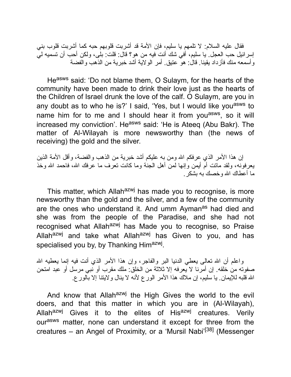فقال علیه السلام: لا تلمهم یا سلیم، فإن الأمة قد أشربت قلوبهم حبه كما أشربت قلوب بني إسرائیل حب العجل. یا سلیم، أفي شك أنت فیه من هو؟ قال: قلت: بلى، ولكن أحب أن تسمیه لي وأسمعه منك فأزداد یقینا. قال: هو عتیق. أمر الولایة أشد خبریة من الذهب والفضة

Heasws said: 'Do not blame them, O Sulaym, for the hearts of the community have been made to drink their love just as the hearts of the Children of Israel drunk the love of the calf. O Sulaym, are you in any doubt as to who he is?' I said, 'Yes, but I would like you<sup>asws</sup> to name him for to me and I should hear it from you<sup>asws</sup>, so it will increased my conviction'. He<sup>asws</sup> said: 'He is Ateeq (Abu Bakr). The matter of Al-Wilayah is more newsworthy than (the news of receiving) the gold and the silver.

إن هذا الأمر الذي عرفكم االله ومن به علیكم أشد خبریة من الذهب والفضة، وأقل الأمة الذین یعرفونه، ولقد ماتت أم أیمن وإنها لمن أهل الجنة وما كانت تعرف ما عرفك االله، فاحمد االله وخذ ما أعطاك االله وخصك به بشكر.

This matter, which Allah<sup>azwj</sup> has made you to recognise, is more newsworthy than the gold and the silver, and a few of the community are the ones who understand it. And umm Aymanas had died and she was from the people of the Paradise, and she had not recognised what Allahazwj has Made you to recognise, so Praise Allah<sup>azwj</sup> and take what Allah<sup>azwj</sup> has Given to you, and has specialised you by, by Thanking Him<sup>azwj</sup>.

واعلم أن الله تعالى یعطي الدنیا البر والفاجر، وإن هذا الأمر الذي أنت فیه إنما یعطیه الله صفوته من خلقه. إن أمرنا لا یعرفه إلا ثلاثة من الخلق: ملك مقرب أو نبي مرسل أو عبد امتحن االله قلبه للإیمان. یا سلیم، إن ملاك هذا الأمر الورع لأنه لا ینال ولایتنا إلا بالورع.

And know that Allah<sup>azwj</sup> the High Gives the world to the evil doers, and that this matter in which you are in (Al-Wilayah), Allah<sup>azwj</sup> Gives it to the elites of His<sup>azwj</sup> creatures. Verily ourasws matter, none can understand it except for three from the creatures – an Angel of Proximity, or a 'Mursil Nabi'<sup>[38]</sup> (Messenger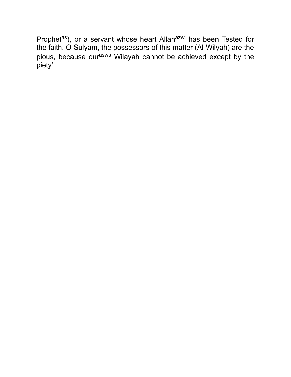Prophetas), or a servant whose heart Allahazwj has been Tested for the faith. O Sulyam, the possessors of this matter (Al-Wilyah) are the pious, because our<sup>asws</sup> Wilayah cannot be achieved except by the piety'.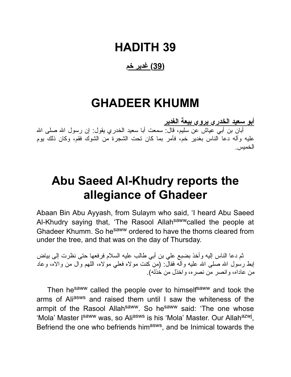### **HADITH 39**

#### **(39) غدیر خم**

### **GHADEER KHUMM**

**أبو سعید الخدري یروي بیعة الغدیر** أبان بن أبي عیاش عن سلیم، قال: سمعت أبا سعید الخدري یقول: إن رسول الله صلى الله علیه وآله دعا الناس بغدیر خم، فأمر بما كان تحت الشجرة من الشوك فقم، وكان ذلك یوم الخمیس.

## **Abu Saeed Al-Khudry reports the allegiance of Ghadeer**

Abaan Bin Abu Ayyash, from Sulaym who said, 'I heard Abu Saeed Al-Khudry saying that, 'The Rasool Allah<sup>saww</sup>called the people at Ghadeer Khumm. So he<sup>saww</sup> ordered to have the thorns cleared from under the tree, and that was on the day of Thursday.

ثم دعا الناس إلیه وأخذ بضبع علي بن أبي طالب علیه السلام فرفعها حتى نظرت إلى بیاض إبط رسول الله صلى الله عليه وآله فقال: (من كنت مولاه فعلي مولاه، اللهم وال من والاه، وعاد من عاداه، وانصر من نصره، واخذل من خذله).

Then he<sup>saww</sup> called the people over to himself<sup>saww</sup> and took the arms of Aliasws and raised them until I saw the whiteness of the armpit of the Rasool Allah<sup>saww</sup>. So he<sup>saww</sup> said: 'The one whose 'Mola' Master I<sup>saww</sup> was, so Ali<sup>asws</sup> is his 'Mola' Master. Our Allah<sup>azwj</sup>, Befriend the one who befriends him<sup>asws</sup>, and be Inimical towards the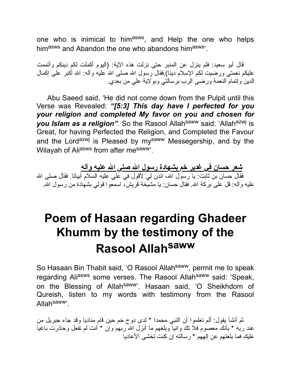one who is inimical to him<sup>asws</sup>, and Help the one who helps himasws and Abandon the one who abandons himasws<sup>3</sup>.

قال أبو سعید: فلم ینزل عن المنبر حتى نزلت هذه الآیة: (الیوم أكملت لكم دینكم وأتممت علیكم نعمتي ورضیت لكم الإسلام دینا).فقال رسول االله صلى االله علیه وآله: االله أكبر على إكمال الدین وإتمام النعمة ورضى الرب برسالتي وبولایة علي من بعدي.

Abu Saeed said, 'He did not come down from the Pulpit until this Verse was Revealed: *"[5:3] This day have I perfected for you your religion and completed My favor on you and chosen for you Islam as a religion"*. So the Rasool Allah<sup>saww</sup> said: 'Allah<sup>azwj</sup> is Great, for having Perfected the Religion, and Completed the Favour and the Lord<sup>azwj</sup> is Pleased by my<sup>saww</sup> Messegership, and by the Wilayah of Aliasws from after mesaww.

**شعر حسان في غدیر خم بشهادة رسول االله صلى االله علیه وآله** فقال حسان بن ثابت: یا رسول الله، ائذن لي لأقول في علي عليه السلام أبياتا. فقال صلـى الله علیه و آله: قل علـي بركة الله. فقال حسان: یا مشیّخة قریش، اسمعو ا قولمی بشهادة من رسول الله.

# **Poem of Hasaan regarding Ghadeer Khumm by the testimony of the Rasool Allah saww**

So Hasaan Bin Thabit said, 'O Rasool Allah<sup>saww</sup>, permit me to speak regarding Aliasws some verses. The Rasool Allahsaww said: 'Speak, on the Blessing of Allah<sup>saww</sup>'. Hasaan said, 'O Sheikhdom of Qureish, listen to my words with testimony from the Rasool Allahsaww'.

ثم أنشأ یقول: ألم تعلموا أن النبي محمدا \* لدى دوح خم حین قام منادیا وقد جاء جبریل من عند ربه \* بأنك معصوم فلا تك وانیا وبلغهم ما أنزل االله ربهم وإن \* أنت لم تفعل وحاذرت باغیا علیك فما بلغتهم عن إلههم \* رسالته إن كنت تخشى الأعادیا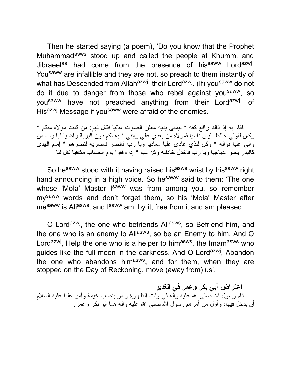Then he started saying (a poem), 'Do you know that the Prophet Muhammad<sup>asws</sup> stood up and called the people at Khumm, and Jibraeel<sup>as</sup> had come from the presence of his<sup>saww</sup> Lord<sup>azwj</sup>. You<sup>saww</sup> are infallible and they are not, so preach to them instantly of what has Descended from Allah<sup>azwj</sup>, their Lord<sup>azwj</sup>. (If) you<sup>saww</sup> do not do it due to danger from those who rebel against you<sup>saww</sup>, so you<sup>saww</sup> have not preached anything from their Lord<sup>azwj</sup>, of Hisazwj Message if yousaww were afraid of the enemies.

فقام به إذ ذاك رافع كفه \* بیمنى یدیه معلن الصوت عالیا فقال لهم: من كنت مولاه منكم \* وكان لقولي حافظا لیس ناسیا فمولاه من بعدي علي وإنني \* به لكم دون البریة راضیا فیا رب من والى علیا فواله \* وكن للذي عادى علیا معادیا ویا رب فانصر ناصریه لنصرهم \* إمام الهدى كالبدر یجلو الدیاجیا ویا رب فاخذل خاذلیه وكن لهم \* إذا وقفوا یوم الحساب مكافیا نقل لنا

So hesaww stood with it having raised hisasws wrist by hissaww right hand announcing in a high voice. So he<sup>saww</sup> said to them: 'The one whose 'Mola' Master I<sup>saww</sup> was from among you, so remember mysaww words and don't forget them, so his 'Mola' Master after me<sup>saww</sup> is Ali<sup>asws</sup>, and I<sup>saww</sup> am, by it, free from it and am pleased.

O Lord<sup>azwj</sup>, the one who befriends Ali<sup>asws</sup>, so Befriend him, and the one who is an enemy to Ali<sup>asws</sup>, so be an Enemy to him. And O Lord<sup>azwj</sup>, Help the one who is a helper to him<sup>asws</sup>, the Imam<sup>asws</sup> who guides like the full moon in the darkness. And O Lord<sup>azwj</sup>, Abandon the one who abandons him<sup>asws</sup>, and for them, when they are stopped on the Day of Reckoning, move (away from) us'.

**اعتراض أبي بكر وعمر في الغدیر** قام رسول الله صلـى الله علیه وألـه فـي وقت الظهیرة وأمر بنصب خیمة وأمر علیا علیه السلام أن یدخل فیها، و أول من أمر هم ر سول الله صلى الله علیه و آله هما أبو بكر ًو عمر .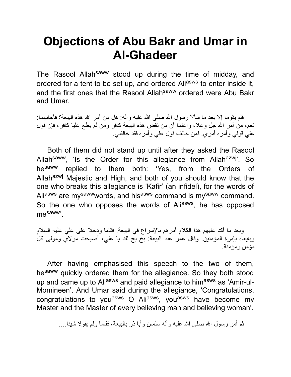# **Objections of Abu Bakr and Umar in Al-Ghadeer**

The Rasool Allah<sup>saww</sup> stood up during the time of midday, and ordered for a tent to be set up, and ordered Aliasws to enter inside it, and the first ones that the Rasool Allah<sup>saww</sup> ordered were Abu Bakr and Umar.

فلم يقوما إلا بعد ما سألا رسول الله صلى الله علیه وآله: هل من أمر الله هذه البیعة؟ فأجابهما: نعم، من أمر الله جل وعلا، واعلما أن من نقض هذه البیعة كافر ومن لم یطع علیا كافر ، فإن قول علي قولي وأمره أمري. فمن خالف قول علي وأمره فقد خالفني.

Both of them did not stand up until after they asked the Rasool Allah<sup>saww</sup>, 'Is the Order for this allegiance from Allah<sup>azwj</sup>'. So hesaww replied to them both: 'Yes, from the Orders of Allah<sup>azwj</sup> Majestic and High, and both of you should know that the one who breaks this allegiance is 'Kafir' (an infidel), for the words of Ali<sup>asws</sup> are my<sup>saww</sup>words, and his<sup>asws</sup> command is my<sup>saww</sup> command. So the one who opposes the words of Ali<sup>asws</sup>, he has opposed mesaww'.

وبعد ما أكد علیهم هذا الكلام أمرهم بالإسراع في البیعة. فقاما ودخلا على علي علیه السلام وبایعاه بإمرة المؤمنین. وقال عمر عند البیعة: بخ بخ لك یا علي، أصبحت مولاي ومولى كل مؤمن ومؤمنة.

After having emphasised this speech to the two of them, hesaww quickly ordered them for the allegiance. So they both stood up and came up to Aliasws and paid allegiance to himasws as 'Amir-ul-Momineen'. And Umar said during the allegiance, 'Congratulations, congratulations to you<sup>asws</sup> O Ali<sup>asws</sup>, you<sup>asws</sup> have become my Master and the Master of every believing man and believing woman'.

ثم أمر رسول الله صلى الله علیه وآله سلمان و أبا ذر بالبیعة، فقاما ولم یقو لا شیئا....